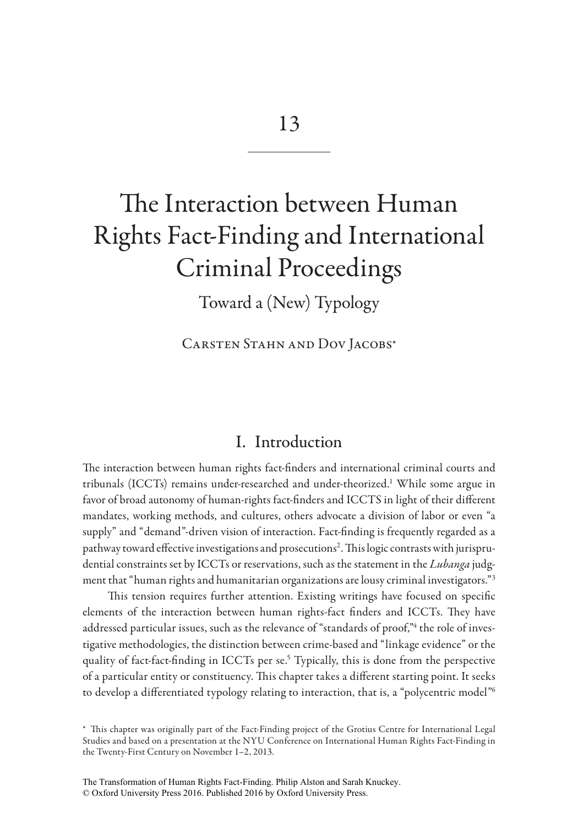# The Interaction between Human Rights Fact-Finding and International Criminal Proceedings

Toward a (New) Typology

CARSTEN STAHN AND DOV JACOBS\*

# I. Introduction

The interaction between human rights fact-finders and international criminal courts and tribunals (ICCTs) remains under-researched and under-theorized.1 While some argue in favor of broad autonomy of human-rights fact-finders and ICCTS in light of their different mandates, working methods, and cultures, others advocate a division of labor or even "a supply" and "demand"-driven vision of interaction. Fact-finding is frequently regarded as a pathway toward effective investigations and prosecutions2 . This logic contrasts with jurisprudential constraints set by ICCTs or reservations, such as the statement in the *Lubanga* judgment that "human rights and humanitarian organizations are lousy criminal investigators."3

This tension requires further attention. Existing writings have focused on specific elements of the interaction between human rights-fact finders and ICCTs. They have addressed particular issues, such as the relevance of "standards of proof," $\!^4$  the role of investigative methodologies, the distinction between crime-based and "linkage evidence" or the quality of fact-fact-finding in ICCTs per se.5 Typically, this is done from the perspective of a particular entity or constituency. This chapter takes a different starting point. It seeks to develop a differentiated typology relating to interaction, that is, a "polycentric model"6

\* This chapter was originally part of the Fact-Finding project of the Grotius Centre for International Legal Studies and based on a presentation at the NYU Conference on International Human Rights Fact-Finding in the Twenty-First Century on November 1–2, 2013.

The Transformation of Human Rights Fact-Finding. Philip Alston and Sarah Knuckey. © Oxford University Press 2016. Published 2016 by Oxford University Press.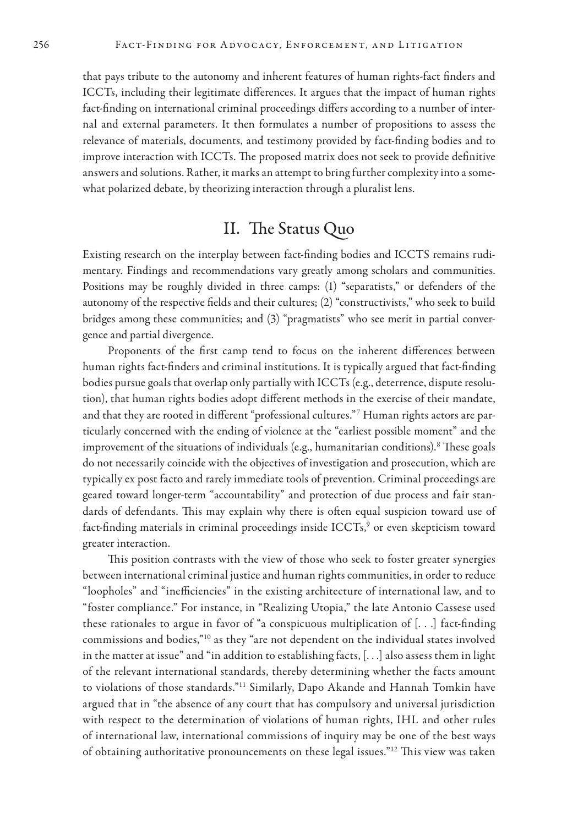that pays tribute to the autonomy and inherent features of human rights-fact finders and ICCTs, including their legitimate differences. It argues that the impact of human rights fact-finding on international criminal proceedings differs according to a number of internal and external parameters. It then formulates a number of propositions to assess the relevance of materials, documents, and testimony provided by fact-finding bodies and to improve interaction with ICCTs. The proposed matrix does not seek to provide definitive answers and solutions. Rather, it marks an attempt to bring further complexity into a somewhat polarized debate, by theorizing interaction through a pluralist lens.

# II. The Status Quo

Existing research on the interplay between fact-finding bodies and ICCTS remains rudimentary. Findings and recommendations vary greatly among scholars and communities. Positions may be roughly divided in three camps: (1) "separatists," or defenders of the autonomy of the respective fields and their cultures; (2) "constructivists," who seek to build bridges among these communities; and (3) "pragmatists" who see merit in partial convergence and partial divergence.

Proponents of the first camp tend to focus on the inherent differences between human rights fact-finders and criminal institutions. It is typically argued that fact-finding bodies pursue goals that overlap only partially with ICCTs (e.g., deterrence, dispute resolution), that human rights bodies adopt different methods in the exercise of their mandate, and that they are rooted in different "professional cultures."7 Human rights actors are particularly concerned with the ending of violence at the "earliest possible moment" and the improvement of the situations of individuals (e.g., humanitarian conditions).8 These goals do not necessarily coincide with the objectives of investigation and prosecution, which are typically ex post facto and rarely immediate tools of prevention. Criminal proceedings are geared toward longer-term "accountability" and protection of due process and fair standards of defendants. This may explain why there is often equal suspicion toward use of fact-finding materials in criminal proceedings inside ICCTs,<sup>9</sup> or even skepticism toward greater interaction.

This position contrasts with the view of those who seek to foster greater synergies between international criminal justice and human rights communities, in order to reduce "loopholes" and "inefficiencies" in the existing architecture of international law, and to "foster compliance." For instance, in "Realizing Utopia," the late Antonio Cassese used these rationales to argue in favor of "a conspicuous multiplication of  $[...]$  fact-finding commissions and bodies,"10 as they "are not dependent on the individual states involved in the matter at issue" and "in addition to establishing facts, [. . .] also assess them in light of the relevant international standards, thereby determining whether the facts amount to violations of those standards."11 Similarly, Dapo Akande and Hannah Tomkin have argued that in "the absence of any court that has compulsory and universal jurisdiction with respect to the determination of violations of human rights, IHL and other rules of international law, international commissions of inquiry may be one of the best ways of obtaining authoritative pronouncements on these legal issues."12 This view was taken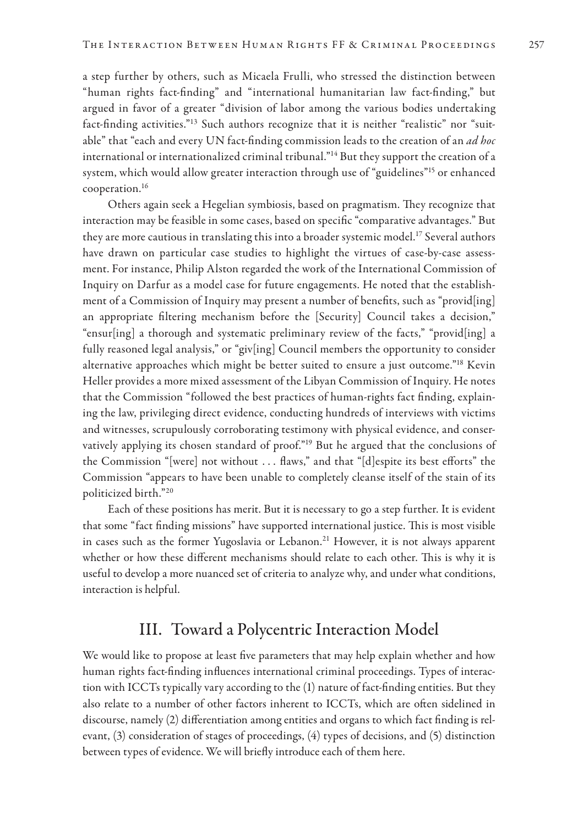a step further by others, such as Micaela Frulli, who stressed the distinction between "human rights fact-finding" and "international humanitarian law fact-finding," but argued in favor of a greater "division of labor among the various bodies undertaking fact-finding activities."<sup>13</sup> Such authors recognize that it is neither "realistic" nor "suitable" that "each and every UN fact-finding commission leads to the creation of an *ad hoc* international or internationalized criminal tribunal."14 But they support the creation of a system, which would allow greater interaction through use of "guidelines"<sup>15</sup> or enhanced cooperation.16

Others again seek a Hegelian symbiosis, based on pragmatism. They recognize that interaction may be feasible in some cases, based on specific "comparative advantages." But they are more cautious in translating this into a broader systemic model.<sup>17</sup> Several authors have drawn on particular case studies to highlight the virtues of case-by-case assessment. For instance, Philip Alston regarded the work of the International Commission of Inquiry on Darfur as a model case for future engagements. He noted that the establishment of a Commission of Inquiry may present a number of benefits, such as "provid[ing] an appropriate filtering mechanism before the [Security] Council takes a decision," "ensur[ing] a thorough and systematic preliminary review of the facts," "provid[ing] a fully reasoned legal analysis," or "giv[ing] Council members the opportunity to consider alternative approaches which might be better suited to ensure a just outcome."18 Kevin Heller provides a more mixed assessment of the Libyan Commission of Inquiry. He notes that the Commission "followed the best practices of human-rights fact finding, explaining the law, privileging direct evidence, conducting hundreds of interviews with victims and witnesses, scrupulously corroborating testimony with physical evidence, and conservatively applying its chosen standard of proof."<sup>19</sup> But he argued that the conclusions of the Commission "[were] not without … flaws," and that "[d]espite its best efforts" the Commission "appears to have been unable to completely cleanse itself of the stain of its politicized birth."20

Each of these positions has merit. But it is necessary to go a step further. It is evident that some "fact finding missions" have supported international justice. This is most visible in cases such as the former Yugoslavia or Lebanon.<sup>21</sup> However, it is not always apparent whether or how these different mechanisms should relate to each other. This is why it is useful to develop a more nuanced set of criteria to analyze why, and under what conditions, interaction is helpful.

# III. Toward a Polycentric Interaction Model

We would like to propose at least five parameters that may help explain whether and how human rights fact-finding influences international criminal proceedings. Types of interaction with ICCTs typically vary according to the (1) nature of fact-finding entities. But they also relate to a number of other factors inherent to ICCTs, which are often sidelined in discourse, namely (2) differentiation among entities and organs to which fact finding is relevant, (3) consideration of stages of proceedings, (4) types of decisions, and (5) distinction between types of evidence. We will briefly introduce each of them here.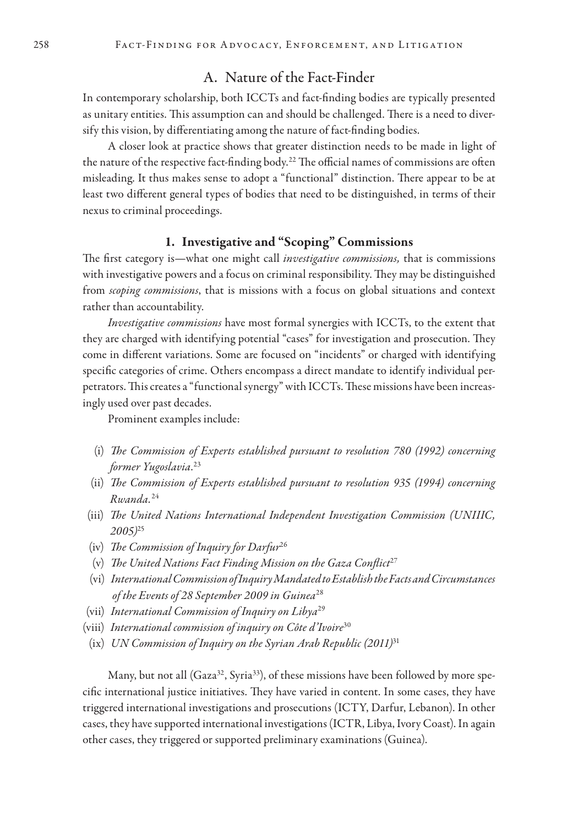## A. Nature of the Fact-Finder

In contemporary scholarship, both ICCTs and fact-finding bodies are typically presented as unitary entities. This assumption can and should be challenged. There is a need to diversify this vision, by differentiating among the nature of fact-finding bodies.

A closer look at practice shows that greater distinction needs to be made in light of the nature of the respective fact-finding body.<sup>22</sup> The official names of commissions are often misleading. It thus makes sense to adopt a "functional" distinction. There appear to be at least two different general types of bodies that need to be distinguished, in terms of their nexus to criminal proceedings.

## 1. Investigative and "Scoping" Commissions

The first category is—what one might call *investigative commissions,* that is commissions with investigative powers and a focus on criminal responsibility. They may be distinguished from *scoping commissions*, that is missions with a focus on global situations and context rather than accountability.

*Investigative commissions* have most formal synergies with ICCTs, to the extent that they are charged with identifying potential "cases" for investigation and prosecution. They come in different variations. Some are focused on "incidents" or charged with identifying specific categories of crime. Others encompass a direct mandate to identify individual perpetrators. This creates a "functional synergy" with ICCTs. These missions have been increasingly used over past decades.

Prominent examples include:

- (i) *The Commission of Experts established pursuant to resolution 780 (1992) concerning former Yugoslavia*. 23
- (ii) *The Commission of Experts established pursuant to resolution 935 (1994) concerning Rwanda.*<sup>24</sup>
- (iii) *The United Nations International Independent Investigation Commission (UNIIIC, 2005)*<sup>25</sup>
- (iv) *The Commission of Inquiry for Darfur*<sup>26</sup>
- (v) *The United Nations Fact Finding Mission on the Gaza Conflict*<sup>27</sup>
- (vi) *International Commission of Inquiry Mandated to Establish the Facts and Circumstances of the Events of 28 September 2009 in Guinea*<sup>28</sup>
- (vii) *International Commission of Inquiry on Libya*<sup>29</sup>
- (viii) *International commission of inquiry on Côte d'Ivoire*<sup>30</sup>
- (ix) *UN Commission of Inquiry on the Syrian Arab Republic (2011)*<sup>31</sup>

Many, but not all (Gaza<sup>32</sup>, Syria<sup>33</sup>), of these missions have been followed by more specific international justice initiatives. They have varied in content. In some cases, they have triggered international investigations and prosecutions (ICTY, Darfur, Lebanon). In other cases, they have supported international investigations (ICTR, Libya, Ivory Coast). In again other cases, they triggered or supported preliminary examinations (Guinea).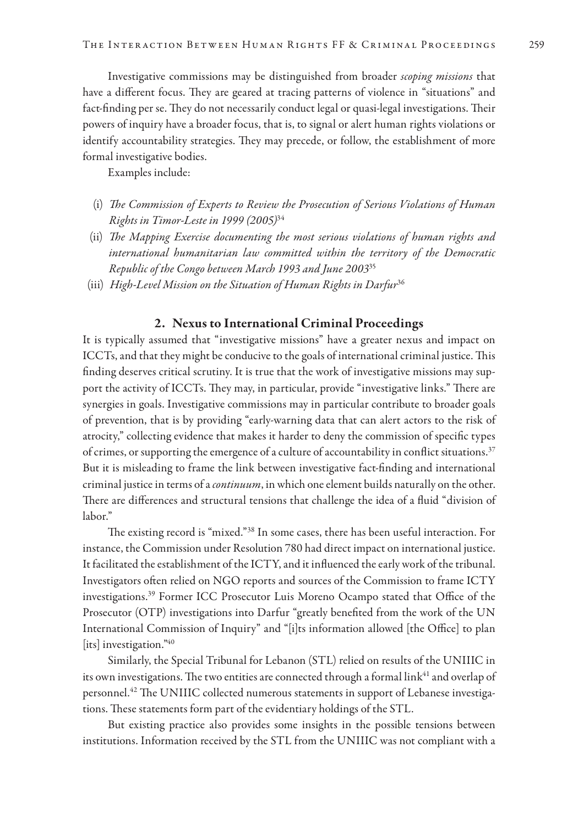Investigative commissions may be distinguished from broader *scoping missions* that have a different focus. They are geared at tracing patterns of violence in "situations" and fact-finding per se. They do not necessarily conduct legal or quasi-legal investigations. Their powers of inquiry have a broader focus, that is, to signal or alert human rights violations or identify accountability strategies. They may precede, or follow, the establishment of more formal investigative bodies.

Examples include:

- (i) *The Commission of Experts to Review the Prosecution of Serious Violations of Human Rights in Timor-Leste in 1999 (2005)*<sup>34</sup>
- (ii) *The Mapping Exercise documenting the most serious violations of human rights and international humanitarian law committed within the territory of the Democratic Republic of the Congo between March 1993 and June 2003*<sup>35</sup>
- (iii) *High-Level Mission on the Situation of Human Rights in Darfur*<sup>36</sup>

#### 2. Nexus to International Criminal Proceedings

It is typically assumed that "investigative missions" have a greater nexus and impact on ICCTs, and that they might be conducive to the goals of international criminal justice. This finding deserves critical scrutiny. It is true that the work of investigative missions may support the activity of ICCTs. They may, in particular, provide "investigative links." There are synergies in goals. Investigative commissions may in particular contribute to broader goals of prevention, that is by providing "early-warning data that can alert actors to the risk of atrocity," collecting evidence that makes it harder to deny the commission of specific types of crimes, or supporting the emergence of a culture of accountability in conflict situations.<sup>37</sup> But it is misleading to frame the link between investigative fact-finding and international criminal justice in terms of a *continuum*, in which one element builds naturally on the other. There are differences and structural tensions that challenge the idea of a fluid "division of labor."

The existing record is "mixed."38 In some cases, there has been useful interaction. For instance, the Commission under Resolution 780 had direct impact on international justice. It facilitated the establishment of the ICTY, and it influenced the early work of the tribunal. Investigators often relied on NGO reports and sources of the Commission to frame ICTY investigations.39 Former ICC Prosecutor Luis Moreno Ocampo stated that Office of the Prosecutor (OTP) investigations into Darfur "greatly benefited from the work of the UN International Commission of Inquiry" and "[i]ts information allowed [the Office] to plan [its] investigation."40

Similarly, the Special Tribunal for Lebanon (STL) relied on results of the UNIIIC in its own investigations. The two entities are connected through a formal link<sup>41</sup> and overlap of personnel.<sup>42</sup> The UNIIIC collected numerous statements in support of Lebanese investigations. These statements form part of the evidentiary holdings of the STL.

But existing practice also provides some insights in the possible tensions between institutions. Information received by the STL from the UNIIIC was not compliant with a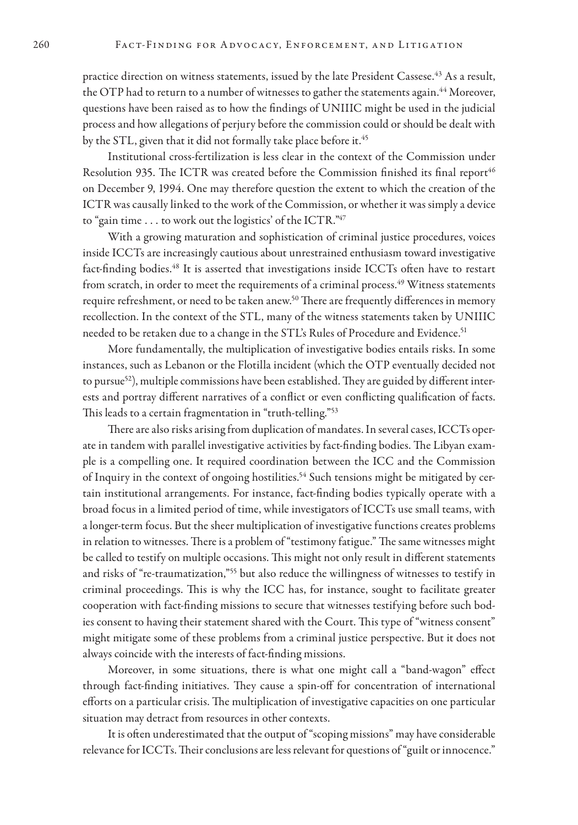practice direction on witness statements, issued by the late President Cassese.<sup>43</sup> As a result, the OTP had to return to a number of witnesses to gather the statements again.<sup>44</sup> Moreover, questions have been raised as to how the findings of UNIIIC might be used in the judicial process and how allegations of perjury before the commission could or should be dealt with by the STL, given that it did not formally take place before it.<sup>45</sup>

Institutional cross-fertilization is less clear in the context of the Commission under Resolution 935. The ICTR was created before the Commission finished its final report<sup>46</sup> on December 9, 1994. One may therefore question the extent to which the creation of the ICTR was causally linked to the work of the Commission, or whether it was simply a device to "gain time . . . to work out the logistics' of the ICTR."47

With a growing maturation and sophistication of criminal justice procedures, voices inside ICCTs are increasingly cautious about unrestrained enthusiasm toward investigative fact-finding bodies.<sup>48</sup> It is asserted that investigations inside ICCTs often have to restart from scratch, in order to meet the requirements of a criminal process.<sup>49</sup> Witness statements require refreshment, or need to be taken anew.<sup>50</sup> There are frequently differences in memory recollection. In the context of the STL, many of the witness statements taken by UNIIIC needed to be retaken due to a change in the STL's Rules of Procedure and Evidence.<sup>51</sup>

More fundamentally, the multiplication of investigative bodies entails risks. In some instances, such as Lebanon or the Flotilla incident (which the OTP eventually decided not to pursue<sup>52</sup>), multiple commissions have been established. They are guided by different interests and portray different narratives of a conflict or even conflicting qualification of facts. This leads to a certain fragmentation in "truth-telling."<sup>53</sup>

There are also risks arising from duplication of mandates. In several cases, ICCTs operate in tandem with parallel investigative activities by fact-finding bodies. The Libyan example is a compelling one. It required coordination between the ICC and the Commission of Inquiry in the context of ongoing hostilities.<sup>54</sup> Such tensions might be mitigated by certain institutional arrangements. For instance, fact-finding bodies typically operate with a broad focus in a limited period of time, while investigators of ICCTs use small teams, with a longer-term focus. But the sheer multiplication of investigative functions creates problems in relation to witnesses. There is a problem of "testimony fatigue." The same witnesses might be called to testify on multiple occasions. This might not only result in different statements and risks of "re-traumatization,"55 but also reduce the willingness of witnesses to testify in criminal proceedings. This is why the ICC has, for instance, sought to facilitate greater cooperation with fact-finding missions to secure that witnesses testifying before such bodies consent to having their statement shared with the Court. This type of "witness consent" might mitigate some of these problems from a criminal justice perspective. But it does not always coincide with the interests of fact-finding missions.

Moreover, in some situations, there is what one might call a "band-wagon" effect through fact-finding initiatives. They cause a spin-off for concentration of international efforts on a particular crisis. The multiplication of investigative capacities on one particular situation may detract from resources in other contexts.

It is often underestimated that the output of "scoping missions" may have considerable relevance for ICCTs. Their conclusions are less relevant for questions of "guilt or innocence."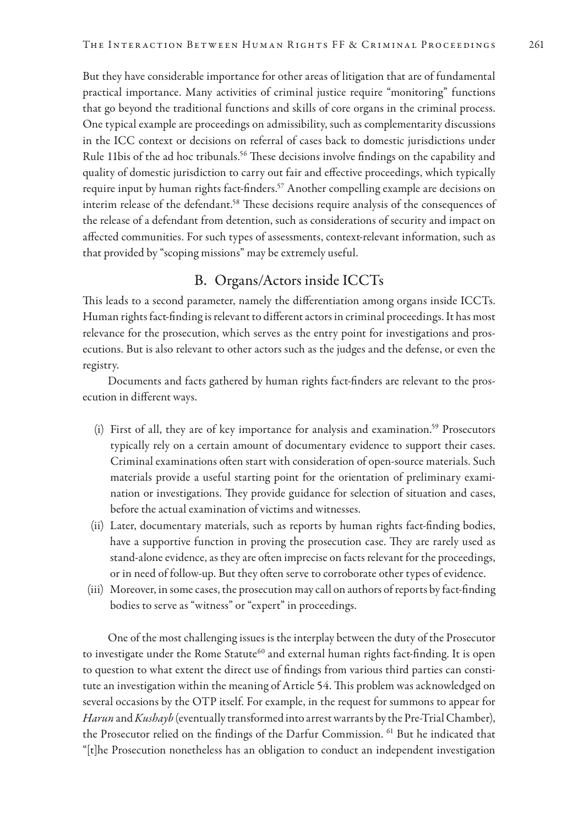But they have considerable importance for other areas of litigation that are of fundamental practical importance. Many activities of criminal justice require "monitoring" functions that go beyond the traditional functions and skills of core organs in the criminal process. One typical example are proceedings on admissibility, such as complementarity discussions in the ICC context or decisions on referral of cases back to domestic jurisdictions under Rule 11bis of the ad hoc tribunals.<sup>56</sup> These decisions involve findings on the capability and quality of domestic jurisdiction to carry out fair and effective proceedings, which typically require input by human rights fact-finders.57 Another compelling example are decisions on interim release of the defendant.<sup>58</sup> These decisions require analysis of the consequences of the release of a defendant from detention, such as considerations of security and impact on affected communities. For such types of assessments, context-relevant information, such as that provided by "scoping missions" may be extremely useful.

## B. Organs/Actors inside ICCTs

This leads to a second parameter, namely the differentiation among organs inside ICCTs. Human rights fact-finding is relevant to different actors in criminal proceedings. It has most relevance for the prosecution, which serves as the entry point for investigations and prosecutions. But is also relevant to other actors such as the judges and the defense, or even the registry.

Documents and facts gathered by human rights fact-finders are relevant to the prosecution in different ways.

- (i) First of all, they are of key importance for analysis and examination.59 Prosecutors typically rely on a certain amount of documentary evidence to support their cases. Criminal examinations often start with consideration of open-source materials. Such materials provide a useful starting point for the orientation of preliminary examination or investigations. They provide guidance for selection of situation and cases, before the actual examination of victims and witnesses.
- (ii) Later, documentary materials, such as reports by human rights fact-finding bodies, have a supportive function in proving the prosecution case. They are rarely used as stand-alone evidence, as they are often imprecise on facts relevant for the proceedings, or in need of follow-up. But they often serve to corroborate other types of evidence.
- (iii) Moreover, in some cases, the prosecution may call on authors of reports by fact-finding bodies to serve as "witness" or "expert" in proceedings.

One of the most challenging issues is the interplay between the duty of the Prosecutor to investigate under the Rome Statute<sup>60</sup> and external human rights fact-finding. It is open to question to what extent the direct use of findings from various third parties can constitute an investigation within the meaning of Article 54. This problem was acknowledged on several occasions by the OTP itself. For example, in the request for summons to appear for *Harun* and *Kushayb* (eventually transformed into arrest warrants by the Pre-Trial Chamber), the Prosecutor relied on the findings of the Darfur Commission. 61 But he indicated that "[t]he Prosecution nonetheless has an obligation to conduct an independent investigation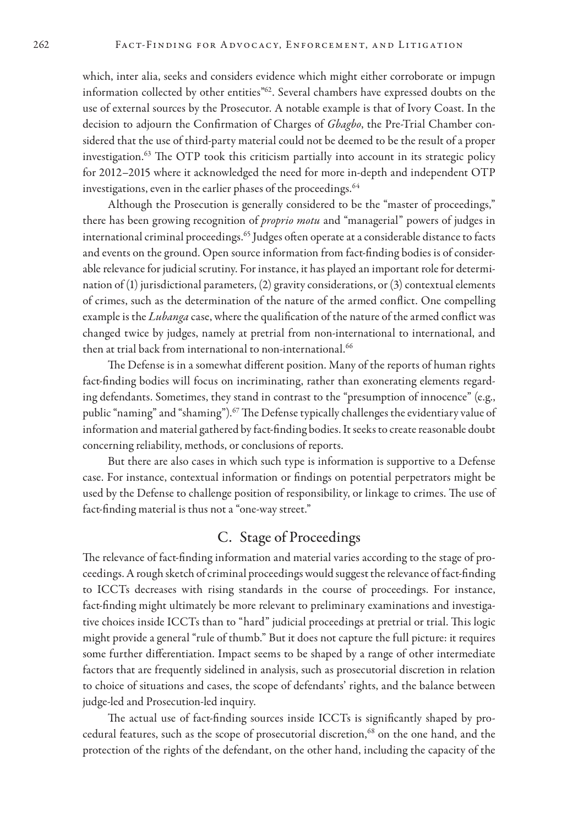which, inter alia, seeks and considers evidence which might either corroborate or impugn information collected by other entities"<sup>62</sup>. Several chambers have expressed doubts on the use of external sources by the Prosecutor. A notable example is that of Ivory Coast. In the decision to adjourn the Confirmation of Charges of *Gbagbo*, the Pre-Trial Chamber considered that the use of third-party material could not be deemed to be the result of a proper investigation.<sup>63</sup> The OTP took this criticism partially into account in its strategic policy for 2012–2015 where it acknowledged the need for more in-depth and independent OTP investigations, even in the earlier phases of the proceedings.<sup>64</sup>

Although the Prosecution is generally considered to be the "master of proceedings," there has been growing recognition of *proprio motu* and "managerial" powers of judges in international criminal proceedings.<sup>65</sup> Judges often operate at a considerable distance to facts and events on the ground. Open source information from fact-finding bodies is of considerable relevance for judicial scrutiny. For instance, it has played an important role for determination of (1) jurisdictional parameters, (2) gravity considerations, or (3) contextual elements of crimes, such as the determination of the nature of the armed conflict. One compelling example is the *Lubanga* case, where the qualification of the nature of the armed conflict was changed twice by judges, namely at pretrial from non-international to international, and then at trial back from international to non-international.<sup>66</sup>

The Defense is in a somewhat different position. Many of the reports of human rights fact-finding bodies will focus on incriminating, rather than exonerating elements regarding defendants. Sometimes, they stand in contrast to the "presumption of innocence" (e.g., public "naming" and "shaming").<sup>67</sup> The Defense typically challenges the evidentiary value of information and material gathered by fact-finding bodies. It seeks to create reasonable doubt concerning reliability, methods, or conclusions of reports.

But there are also cases in which such type is information is supportive to a Defense case. For instance, contextual information or findings on potential perpetrators might be used by the Defense to challenge position of responsibility, or linkage to crimes. The use of fact-finding material is thus not a "one-way street."

# C. Stage of Proceedings

The relevance of fact-finding information and material varies according to the stage of proceedings. A rough sketch of criminal proceedings would suggest the relevance of fact-finding to ICCTs decreases with rising standards in the course of proceedings. For instance, fact-finding might ultimately be more relevant to preliminary examinations and investigative choices inside ICCTs than to "hard" judicial proceedings at pretrial or trial. This logic might provide a general "rule of thumb." But it does not capture the full picture: it requires some further differentiation. Impact seems to be shaped by a range of other intermediate factors that are frequently sidelined in analysis, such as prosecutorial discretion in relation to choice of situations and cases, the scope of defendants' rights, and the balance between judge-led and Prosecution-led inquiry.

The actual use of fact-finding sources inside ICCTs is significantly shaped by procedural features, such as the scope of prosecutorial discretion,<sup>68</sup> on the one hand, and the protection of the rights of the defendant, on the other hand, including the capacity of the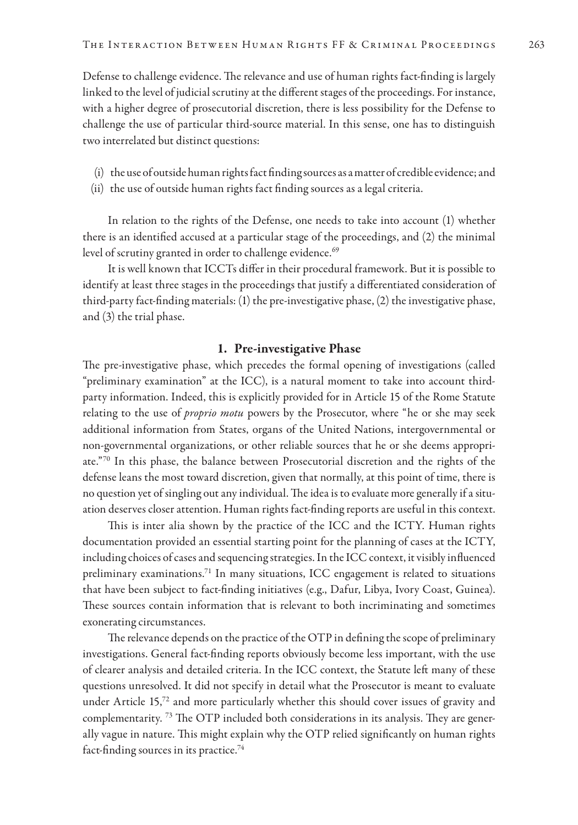Defense to challenge evidence. The relevance and use of human rights fact-finding is largely linked to the level of judicial scrutiny at the different stages of the proceedings. For instance, with a higher degree of prosecutorial discretion, there is less possibility for the Defense to challenge the use of particular third-source material. In this sense, one has to distinguish two interrelated but distinct questions:

- (i) the use of outside human rights fact finding sources as a matter of credible evidence; and
- (ii) the use of outside human rights fact finding sources as a legal criteria.

In relation to the rights of the Defense, one needs to take into account (1) whether there is an identified accused at a particular stage of the proceedings, and (2) the minimal level of scrutiny granted in order to challenge evidence.<sup>69</sup>

It is well known that ICCTs differ in their procedural framework. But it is possible to identify at least three stages in the proceedings that justify a differentiated consideration of third-party fact-finding materials: (1) the pre-investigative phase, (2) the investigative phase, and (3) the trial phase.

#### 1. Pre-investigative Phase

The pre-investigative phase, which precedes the formal opening of investigations (called "preliminary examination" at the ICC), is a natural moment to take into account thirdparty information. Indeed, this is explicitly provided for in Article 15 of the Rome Statute relating to the use of *proprio motu* powers by the Prosecutor, where "he or she may seek additional information from States, organs of the United Nations, intergovernmental or non-governmental organizations, or other reliable sources that he or she deems appropriate."70 In this phase, the balance between Prosecutorial discretion and the rights of the defense leans the most toward discretion, given that normally, at this point of time, there is no question yet of singling out any individual. The idea is to evaluate more generally if a situation deserves closer attention. Human rights fact-finding reports are useful in this context.

This is inter alia shown by the practice of the ICC and the ICTY. Human rights documentation provided an essential starting point for the planning of cases at the ICTY, including choices of cases and sequencing strategies. In the ICC context, it visibly influenced preliminary examinations.<sup>71</sup> In many situations, ICC engagement is related to situations that have been subject to fact-finding initiatives (e.g., Dafur, Libya, Ivory Coast, Guinea). These sources contain information that is relevant to both incriminating and sometimes exonerating circumstances.

The relevance depends on the practice of the OTP in defining the scope of preliminary investigations. General fact-finding reports obviously become less important, with the use of clearer analysis and detailed criteria. In the ICC context, the Statute left many of these questions unresolved. It did not specify in detail what the Prosecutor is meant to evaluate under Article 15,72 and more particularly whether this should cover issues of gravity and complementarity. 73 The OTP included both considerations in its analysis. They are generally vague in nature. This might explain why the OTP relied significantly on human rights fact-finding sources in its practice.<sup>74</sup>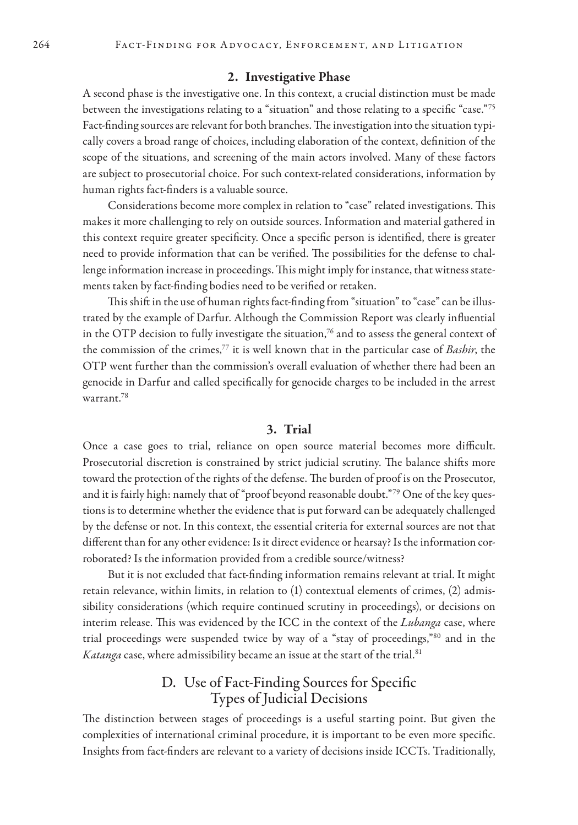#### 2. Investigative Phase

A second phase is the investigative one. In this context, a crucial distinction must be made between the investigations relating to a "situation" and those relating to a specific "case."<sup>75</sup> Fact-finding sources are relevant for both branches. The investigation into the situation typically covers a broad range of choices, including elaboration of the context, definition of the scope of the situations, and screening of the main actors involved. Many of these factors are subject to prosecutorial choice. For such context-related considerations, information by human rights fact-finders is a valuable source.

Considerations become more complex in relation to "case" related investigations. This makes it more challenging to rely on outside sources. Information and material gathered in this context require greater specificity. Once a specific person is identified, there is greater need to provide information that can be verified. The possibilities for the defense to challenge information increase in proceedings. This might imply for instance, that witness statements taken by fact-finding bodies need to be verified or retaken.

This shift in the use of human rights fact-finding from "situation" to "case" can be illustrated by the example of Darfur. Although the Commission Report was clearly influential in the OTP decision to fully investigate the situation,<sup>76</sup> and to assess the general context of the commission of the crimes,77 it is well known that in the particular case of *Bashir*, the OTP went further than the commission's overall evaluation of whether there had been an genocide in Darfur and called specifically for genocide charges to be included in the arrest warrant. $78$ 

## 3. Trial

Once a case goes to trial, reliance on open source material becomes more difficult. Prosecutorial discretion is constrained by strict judicial scrutiny. The balance shifts more toward the protection of the rights of the defense. The burden of proof is on the Prosecutor, and it is fairly high: namely that of "proof beyond reasonable doubt."<sup>79</sup> One of the key questions is to determine whether the evidence that is put forward can be adequately challenged by the defense or not. In this context, the essential criteria for external sources are not that different than for any other evidence: Is it direct evidence or hearsay? Is the information corroborated? Is the information provided from a credible source/witness?

But it is not excluded that fact-finding information remains relevant at trial. It might retain relevance, within limits, in relation to (1) contextual elements of crimes, (2) admissibility considerations (which require continued scrutiny in proceedings), or decisions on interim release. This was evidenced by the ICC in the context of the *Lubanga* case, where trial proceedings were suspended twice by way of a "stay of proceedings,"80 and in the *Katanga* case, where admissibility became an issue at the start of the trial.<sup>81</sup>

# D. Use of Fact-Finding Sources for Specific Types of Judicial Decisions

The distinction between stages of proceedings is a useful starting point. But given the complexities of international criminal procedure, it is important to be even more specific. Insights from fact-finders are relevant to a variety of decisions inside ICCTs. Traditionally,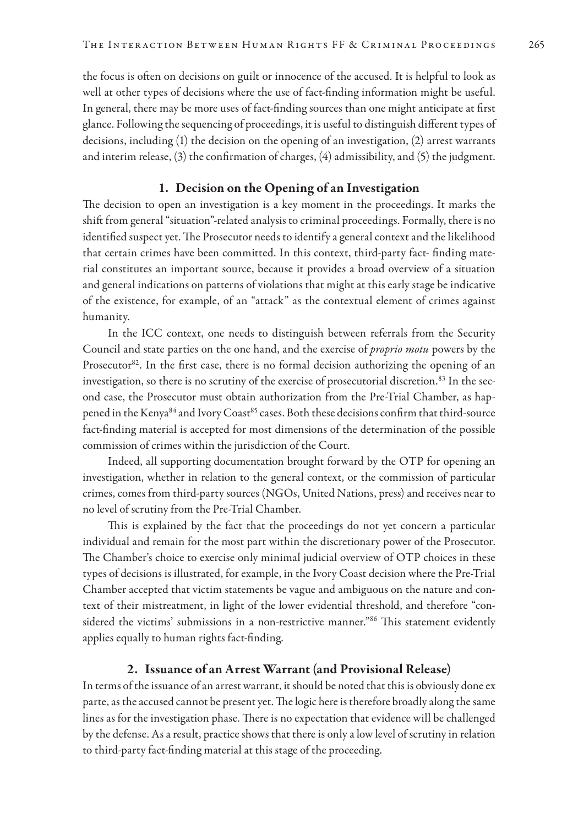the focus is often on decisions on guilt or innocence of the accused. It is helpful to look as well at other types of decisions where the use of fact-finding information might be useful. In general, there may be more uses of fact-finding sources than one might anticipate at first glance. Following the sequencing of proceedings, it is useful to distinguish different types of decisions, including (1) the decision on the opening of an investigation, (2) arrest warrants and interim release, (3) the confirmation of charges, (4) admissibility, and (5) the judgment.

#### 1. Decision on the Opening of an Investigation

The decision to open an investigation is a key moment in the proceedings. It marks the shift from general "situation"-related analysis to criminal proceedings. Formally, there is no identified suspect yet. The Prosecutor needs to identify a general context and the likelihood that certain crimes have been committed. In this context, third-party fact- finding material constitutes an important source, because it provides a broad overview of a situation and general indications on patterns of violations that might at this early stage be indicative of the existence, for example, of an "attack" as the contextual element of crimes against humanity.

In the ICC context, one needs to distinguish between referrals from the Security Council and state parties on the one hand, and the exercise of *proprio motu* powers by the Prosecutor<sup>82</sup>. In the first case, there is no formal decision authorizing the opening of an investigation, so there is no scrutiny of the exercise of prosecutorial discretion.83 In the second case, the Prosecutor must obtain authorization from the Pre-Trial Chamber, as happened in the Kenya<sup>84</sup> and Ivory Coast<sup>85</sup> cases. Both these decisions confirm that third-source fact-finding material is accepted for most dimensions of the determination of the possible commission of crimes within the jurisdiction of the Court.

Indeed, all supporting documentation brought forward by the OTP for opening an investigation, whether in relation to the general context, or the commission of particular crimes, comes from third-party sources (NGOs, United Nations, press) and receives near to no level of scrutiny from the Pre-Trial Chamber.

This is explained by the fact that the proceedings do not yet concern a particular individual and remain for the most part within the discretionary power of the Prosecutor. The Chamber's choice to exercise only minimal judicial overview of OTP choices in these types of decisions is illustrated, for example, in the Ivory Coast decision where the Pre-Trial Chamber accepted that victim statements be vague and ambiguous on the nature and context of their mistreatment, in light of the lower evidential threshold, and therefore "considered the victims' submissions in a non-restrictive manner."<sup>86</sup> This statement evidently applies equally to human rights fact-finding.

## 2. Issuance of an Arrest Warrant (and Provisional Release)

In terms of the issuance of an arrest warrant, it should be noted that this is obviously done ex parte, as the accused cannot be present yet. The logic here is therefore broadly along the same lines as for the investigation phase. There is no expectation that evidence will be challenged by the defense. As a result, practice shows that there is only a low level of scrutiny in relation to third-party fact-finding material at this stage of the proceeding.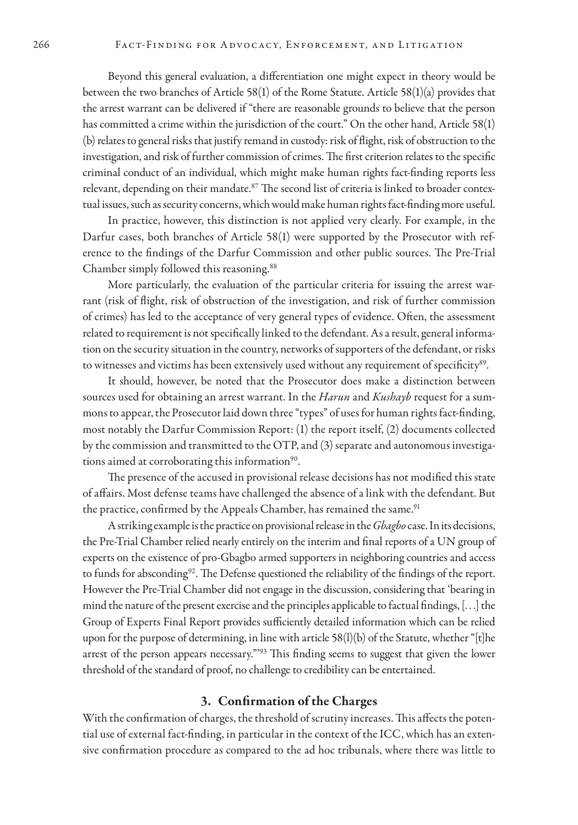Beyond this general evaluation, a differentiation one might expect in theory would be between the two branches of Article 58(1) of the Rome Statute. Article 58(1)(a) provides that the arrest warrant can be delivered if "there are reasonable grounds to believe that the person has committed a crime within the jurisdiction of the court." On the other hand, Article 58(1) (b) relates to general risks that justify remand in custody: risk of flight, risk of obstruction to the investigation, and risk of further commission of crimes. The first criterion relates to the specific criminal conduct of an individual, which might make human rights fact-finding reports less relevant, depending on their mandate.<sup>87</sup> The second list of criteria is linked to broader contextual issues, such as security concerns, which would make human rights fact-finding more useful.

In practice, however, this distinction is not applied very clearly. For example, in the Darfur cases, both branches of Article 58(1) were supported by the Prosecutor with reference to the findings of the Darfur Commission and other public sources. The Pre-Trial Chamber simply followed this reasoning.88

More particularly, the evaluation of the particular criteria for issuing the arrest warrant (risk of flight, risk of obstruction of the investigation, and risk of further commission of crimes) has led to the acceptance of very general types of evidence. Often, the assessment related to requirement is not specifically linked to the defendant. As a result, general information on the security situation in the country, networks of supporters of the defendant, or risks to witnesses and victims has been extensively used without any requirement of specificity<sup>89</sup>.

It should, however, be noted that the Prosecutor does make a distinction between sources used for obtaining an arrest warrant. In the *Harun* and *Kushayb* request for a summons to appear, the Prosecutor laid down three "types" of uses for human rights fact-finding, most notably the Darfur Commission Report: (1) the report itself, (2) documents collected by the commission and transmitted to the OTP, and (3) separate and autonomous investigations aimed at corroborating this information<sup>90</sup>.

The presence of the accused in provisional release decisions has not modified this state of affairs. Most defense teams have challenged the absence of a link with the defendant. But the practice, confirmed by the Appeals Chamber, has remained the same.<sup>91</sup>

A striking example is the practice on provisional release in the *Gbagbo* case. In its decisions, the Pre-Trial Chamber relied nearly entirely on the interim and final reports of a UN group of experts on the existence of pro-Gbagbo armed supporters in neighboring countries and access to funds for absconding<sup>92</sup>. The Defense questioned the reliability of the findings of the report. However the Pre-Trial Chamber did not engage in the discussion, considering that 'bearing in mind the nature of the present exercise and the principles applicable to factual findings, [. . .] the Group of Experts Final Report provides sufficiently detailed information which can be relied upon for the purpose of determining, in line with article 58(l)(b) of the Statute, whether "[t]he arrest of the person appears necessary."<sup>93</sup> This finding seems to suggest that given the lower threshold of the standard of proof, no challenge to credibility can be entertained.

#### 3. Confirmation of the Charges

With the confirmation of charges, the threshold of scrutiny increases. This affects the potential use of external fact-finding, in particular in the context of the ICC, which has an extensive confirmation procedure as compared to the ad hoc tribunals, where there was little to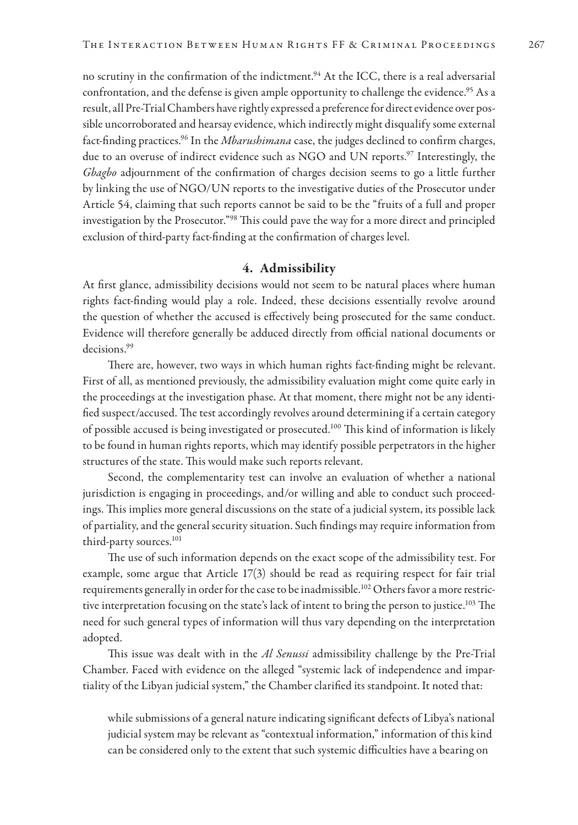no scrutiny in the confirmation of the indictment.<sup>94</sup> At the ICC, there is a real adversarial confrontation, and the defense is given ample opportunity to challenge the evidence.<sup>95</sup> As a result, all Pre-Trial Chambers have rightly expressed a preference for direct evidence over possible uncorroborated and hearsay evidence, which indirectly might disqualify some external fact-finding practices.<sup>96</sup> In the *Mbarushimana* case, the judges declined to confirm charges, due to an overuse of indirect evidence such as NGO and UN reports.<sup>97</sup> Interestingly, the *Gbagbo* adjournment of the confirmation of charges decision seems to go a little further by linking the use of NGO/UN reports to the investigative duties of the Prosecutor under Article 54, claiming that such reports cannot be said to be the "fruits of a full and proper investigation by the Prosecutor."98 This could pave the way for a more direct and principled exclusion of third-party fact-finding at the confirmation of charges level.

#### 4. Admissibility

At first glance, admissibility decisions would not seem to be natural places where human rights fact-finding would play a role. Indeed, these decisions essentially revolve around the question of whether the accused is effectively being prosecuted for the same conduct. Evidence will therefore generally be adduced directly from official national documents or decisions.99

There are, however, two ways in which human rights fact-finding might be relevant. First of all, as mentioned previously, the admissibility evaluation might come quite early in the proceedings at the investigation phase. At that moment, there might not be any identified suspect/accused. The test accordingly revolves around determining if a certain category of possible accused is being investigated or prosecuted.100 This kind of information is likely to be found in human rights reports, which may identify possible perpetrators in the higher structures of the state. This would make such reports relevant.

Second, the complementarity test can involve an evaluation of whether a national jurisdiction is engaging in proceedings, and/or willing and able to conduct such proceedings. This implies more general discussions on the state of a judicial system, its possible lack of partiality, and the general security situation. Such findings may require information from third-party sources.101

The use of such information depends on the exact scope of the admissibility test. For example, some argue that Article 17(3) should be read as requiring respect for fair trial requirements generally in order for the case to be inadmissible.<sup>102</sup> Others favor a more restrictive interpretation focusing on the state's lack of intent to bring the person to justice.<sup>103</sup> The need for such general types of information will thus vary depending on the interpretation adopted.

This issue was dealt with in the *Al Senussi* admissibility challenge by the Pre-Trial Chamber. Faced with evidence on the alleged "systemic lack of independence and impartiality of the Libyan judicial system," the Chamber clarified its standpoint. It noted that:

while submissions of a general nature indicating significant defects of Libya's national judicial system may be relevant as "contextual information," information of this kind can be considered only to the extent that such systemic difficulties have a bearing on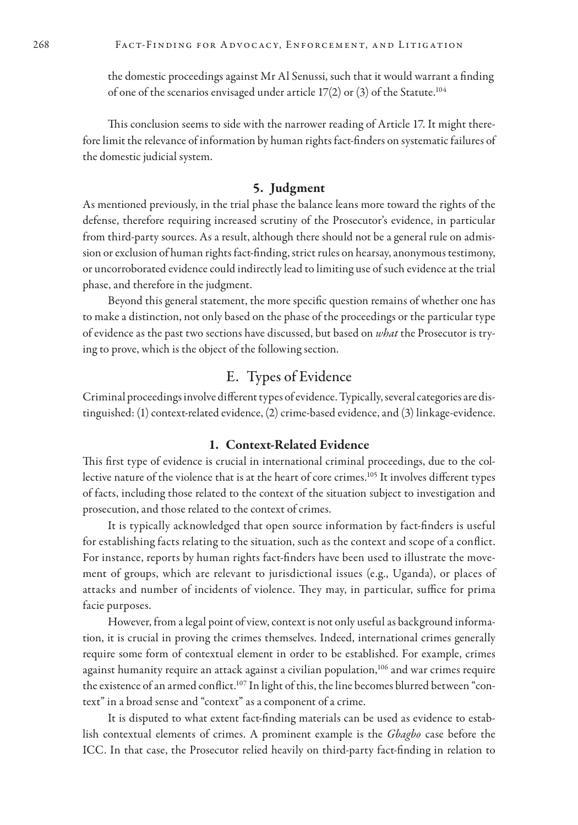the domestic proceedings against Mr Al Senussi, such that it would warrant a finding of one of the scenarios envisaged under article  $17(2)$  or  $(3)$  of the Statute.<sup>104</sup>

This conclusion seems to side with the narrower reading of Article 17. It might therefore limit the relevance of information by human rights fact-finders on systematic failures of the domestic judicial system.

## 5. Judgment

As mentioned previously, in the trial phase the balance leans more toward the rights of the defense, therefore requiring increased scrutiny of the Prosecutor's evidence, in particular from third-party sources. As a result, although there should not be a general rule on admission or exclusion of human rights fact-finding, strict rules on hearsay, anonymous testimony, or uncorroborated evidence could indirectly lead to limiting use of such evidence at the trial phase, and therefore in the judgment.

Beyond this general statement, the more specific question remains of whether one has to make a distinction, not only based on the phase of the proceedings or the particular type of evidence as the past two sections have discussed, but based on *what* the Prosecutor is trying to prove, which is the object of the following section.

## E. Types of Evidence

Criminal proceedings involve different types of evidence. Typically, several categories are distinguished: (1) context-related evidence, (2) crime-based evidence, and (3) linkage-evidence.

## 1. Context-Related Evidence

This first type of evidence is crucial in international criminal proceedings, due to the collective nature of the violence that is at the heart of core crimes.<sup>105</sup> It involves different types of facts, including those related to the context of the situation subject to investigation and prosecution, and those related to the context of crimes.

It is typically acknowledged that open source information by fact-finders is useful for establishing facts relating to the situation, such as the context and scope of a conflict. For instance, reports by human rights fact-finders have been used to illustrate the movement of groups, which are relevant to jurisdictional issues (e.g., Uganda), or places of attacks and number of incidents of violence. They may, in particular, suffice for prima facie purposes.

However, from a legal point of view, context is not only useful as background information, it is crucial in proving the crimes themselves. Indeed, international crimes generally require some form of contextual element in order to be established. For example, crimes against humanity require an attack against a civilian population,<sup>106</sup> and war crimes require the existence of an armed conflict.107 In light of this, the line becomes blurred between "context" in a broad sense and "context" as a component of a crime.

It is disputed to what extent fact-finding materials can be used as evidence to establish contextual elements of crimes. A prominent example is the *Gbagbo* case before the ICC. In that case, the Prosecutor relied heavily on third-party fact-finding in relation to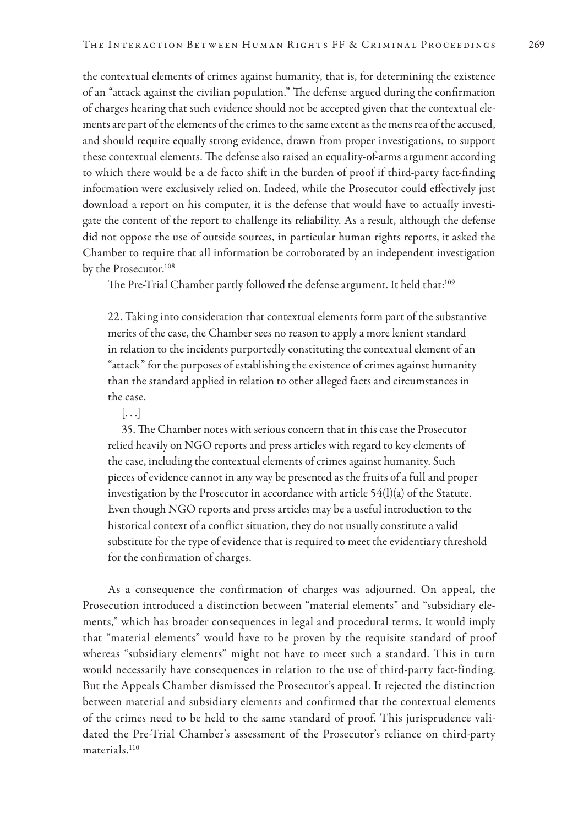the contextual elements of crimes against humanity, that is, for determining the existence of an "attack against the civilian population." The defense argued during the confirmation of charges hearing that such evidence should not be accepted given that the contextual elements are part of the elements of the crimes to the same extent as the mens rea of the accused, and should require equally strong evidence, drawn from proper investigations, to support these contextual elements. The defense also raised an equality-of-arms argument according to which there would be a de facto shift in the burden of proof if third-party fact-finding information were exclusively relied on. Indeed, while the Prosecutor could effectively just download a report on his computer, it is the defense that would have to actually investigate the content of the report to challenge its reliability. As a result, although the defense did not oppose the use of outside sources, in particular human rights reports, it asked the Chamber to require that all information be corroborated by an independent investigation by the Prosecutor.<sup>108</sup>

The Pre-Trial Chamber partly followed the defense argument. It held that:<sup>109</sup>

22. Taking into consideration that contextual elements form part of the substantive merits of the case, the Chamber sees no reason to apply a more lenient standard in relation to the incidents purportedly constituting the contextual element of an "attack" for the purposes of establishing the existence of crimes against humanity than the standard applied in relation to other alleged facts and circumstances in the case.

 $[...]$ 

35. The Chamber notes with serious concern that in this case the Prosecutor relied heavily on NGO reports and press articles with regard to key elements of the case, including the contextual elements of crimes against humanity. Such pieces of evidence cannot in any way be presented as the fruits of a full and proper investigation by the Prosecutor in accordance with article 54(l)(a) of the Statute. Even though NGO reports and press articles may be a useful introduction to the historical context of a conflict situation, they do not usually constitute a valid substitute for the type of evidence that is required to meet the evidentiary threshold for the confirmation of charges.

As a consequence the confirmation of charges was adjourned. On appeal, the Prosecution introduced a distinction between "material elements" and "subsidiary elements," which has broader consequences in legal and procedural terms. It would imply that "material elements" would have to be proven by the requisite standard of proof whereas "subsidiary elements" might not have to meet such a standard. This in turn would necessarily have consequences in relation to the use of third-party fact-finding. But the Appeals Chamber dismissed the Prosecutor's appeal. It rejected the distinction between material and subsidiary elements and confirmed that the contextual elements of the crimes need to be held to the same standard of proof. This jurisprudence validated the Pre-Trial Chamber's assessment of the Prosecutor's reliance on third-party materials.<sup>110</sup>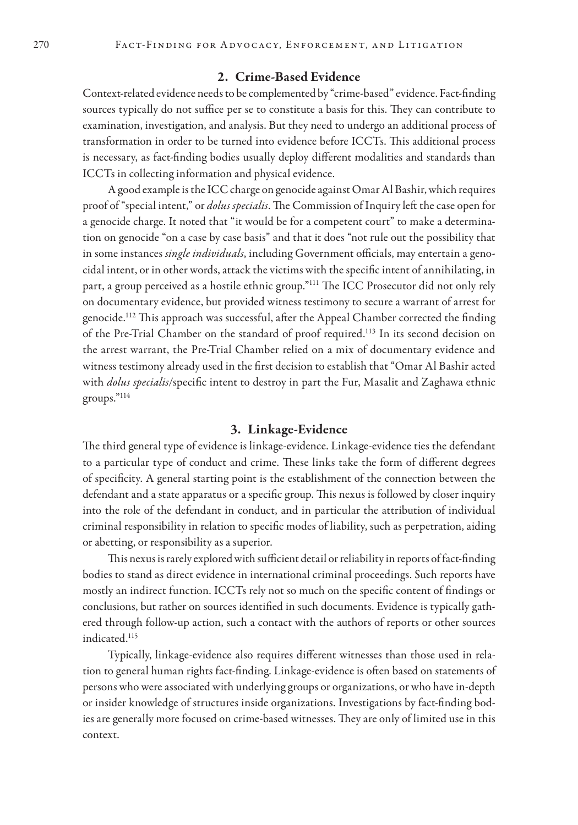## 2. Crime-Based Evidence

Context-related evidence needs to be complemented by "crime-based" evidence. Fact-finding sources typically do not suffice per se to constitute a basis for this. They can contribute to examination, investigation, and analysis. But they need to undergo an additional process of transformation in order to be turned into evidence before ICCTs. This additional process is necessary, as fact-finding bodies usually deploy different modalities and standards than ICCTs in collecting information and physical evidence.

A good example is the ICC charge on genocide against Omar Al Bashir, which requires proof of "special intent," or *dolus specialis*. The Commission of Inquiry left the case open for a genocide charge. It noted that "it would be for a competent court" to make a determination on genocide "on a case by case basis" and that it does "not rule out the possibility that in some instances *single individuals*, including Government officials, may entertain a genocidal intent, or in other words, attack the victims with the specific intent of annihilating, in part, a group perceived as a hostile ethnic group."111 The ICC Prosecutor did not only rely on documentary evidence, but provided witness testimony to secure a warrant of arrest for genocide.112 This approach was successful, after the Appeal Chamber corrected the finding of the Pre-Trial Chamber on the standard of proof required.113 In its second decision on the arrest warrant, the Pre-Trial Chamber relied on a mix of documentary evidence and witness testimony already used in the first decision to establish that "Omar Al Bashir acted with *dolus specialis*/specific intent to destroy in part the Fur, Masalit and Zaghawa ethnic groups."114

## 3. Linkage-Evidence

The third general type of evidence is linkage-evidence. Linkage-evidence ties the defendant to a particular type of conduct and crime. These links take the form of different degrees of specificity. A general starting point is the establishment of the connection between the defendant and a state apparatus or a specific group. This nexus is followed by closer inquiry into the role of the defendant in conduct, and in particular the attribution of individual criminal responsibility in relation to specific modes of liability, such as perpetration, aiding or abetting, or responsibility as a superior.

This nexus is rarely explored with sufficient detail or reliability in reports of fact-finding bodies to stand as direct evidence in international criminal proceedings. Such reports have mostly an indirect function. ICCTs rely not so much on the specific content of findings or conclusions, but rather on sources identified in such documents. Evidence is typically gathered through follow-up action, such a contact with the authors of reports or other sources indicated.115

Typically, linkage-evidence also requires different witnesses than those used in relation to general human rights fact-finding. Linkage-evidence is often based on statements of persons who were associated with underlying groups or organizations, or who have in-depth or insider knowledge of structures inside organizations. Investigations by fact-finding bodies are generally more focused on crime-based witnesses. They are only of limited use in this context.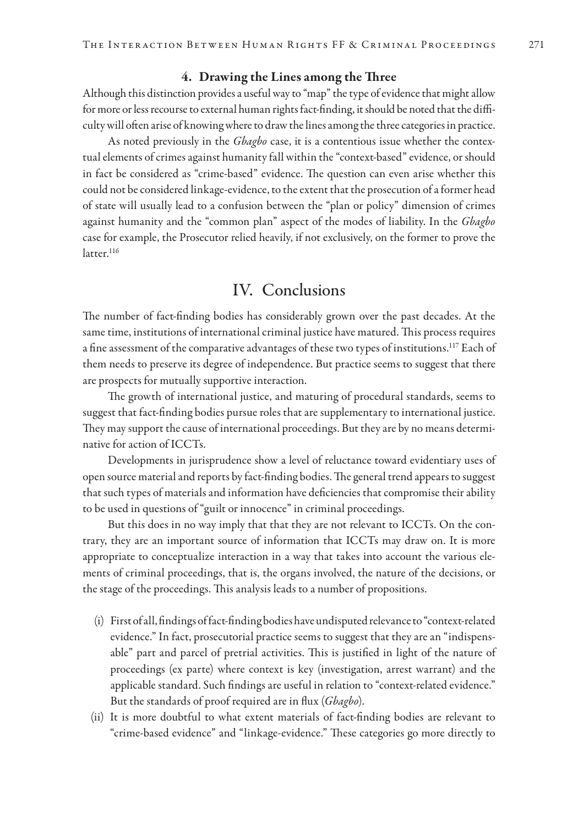#### 4. Drawing the Lines among the Three

Although this distinction provides a useful way to "map" the type of evidence that might allow for more or less recourse to external human rights fact-finding, it should be noted that the difficulty will often arise of knowing where to draw the lines among the three categories in practice.

As noted previously in the *Gbagbo* case, it is a contentious issue whether the contextual elements of crimes against humanity fall within the "context-based" evidence, or should in fact be considered as "crime-based" evidence. The question can even arise whether this could not be considered linkage-evidence, to the extent that the prosecution of a former head of state will usually lead to a confusion between the "plan or policy" dimension of crimes against humanity and the "common plan" aspect of the modes of liability. In the *Gbagbo* case for example, the Prosecutor relied heavily, if not exclusively, on the former to prove the latter.<sup>116</sup>

# IV. Conclusions

The number of fact-finding bodies has considerably grown over the past decades. At the same time, institutions of international criminal justice have matured. This process requires a fine assessment of the comparative advantages of these two types of institutions.<sup>117</sup> Each of them needs to preserve its degree of independence. But practice seems to suggest that there are prospects for mutually supportive interaction.

The growth of international justice, and maturing of procedural standards, seems to suggest that fact-finding bodies pursue roles that are supplementary to international justice. They may support the cause of international proceedings. But they are by no means determinative for action of ICCTs.

Developments in jurisprudence show a level of reluctance toward evidentiary uses of open source material and reports by fact-finding bodies. The general trend appears to suggest that such types of materials and information have deficiencies that compromise their ability to be used in questions of "guilt or innocence" in criminal proceedings.

But this does in no way imply that that they are not relevant to ICCTs. On the contrary, they are an important source of information that ICCTs may draw on. It is more appropriate to conceptualize interaction in a way that takes into account the various elements of criminal proceedings, that is, the organs involved, the nature of the decisions, or the stage of the proceedings. This analysis leads to a number of propositions.

- (i) First of all, findings of fact-finding bodies have undisputed relevance to "context-related evidence." In fact, prosecutorial practice seems to suggest that they are an "indispensable" part and parcel of pretrial activities. This is justified in light of the nature of proceedings (ex parte) where context is key (investigation, arrest warrant) and the applicable standard. Such findings are useful in relation to "context-related evidence." But the standards of proof required are in flux (*Gbagbo*).
- (ii) It is more doubtful to what extent materials of fact-finding bodies are relevant to "crime-based evidence" and "linkage-evidence." These categories go more directly to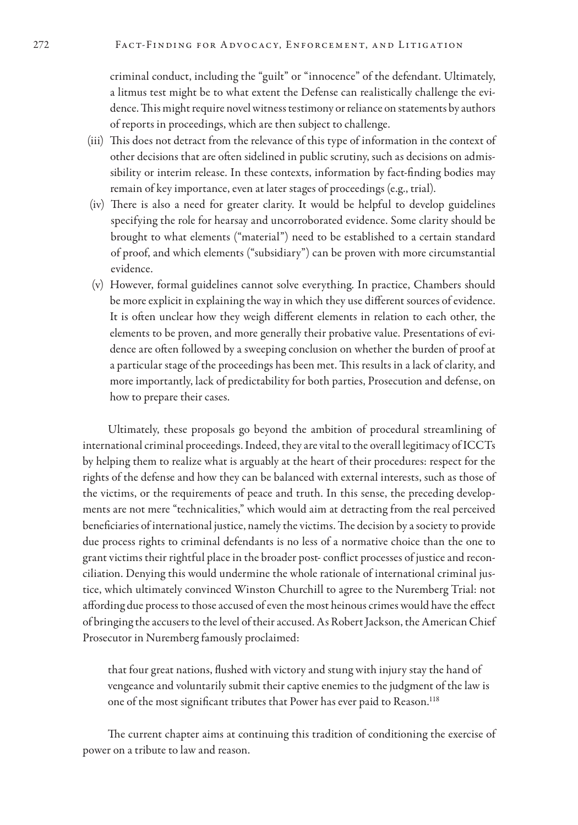criminal conduct, including the "guilt" or "innocence" of the defendant. Ultimately, a litmus test might be to what extent the Defense can realistically challenge the evidence. This might require novel witness testimony or reliance on statements by authors of reports in proceedings, which are then subject to challenge.

- (iii) This does not detract from the relevance of this type of information in the context of other decisions that are often sidelined in public scrutiny, such as decisions on admissibility or interim release. In these contexts, information by fact-finding bodies may remain of key importance, even at later stages of proceedings (e.g., trial).
- (iv) There is also a need for greater clarity. It would be helpful to develop guidelines specifying the role for hearsay and uncorroborated evidence. Some clarity should be brought to what elements ("material") need to be established to a certain standard of proof, and which elements ("subsidiary") can be proven with more circumstantial evidence.
- (v) However, formal guidelines cannot solve everything. In practice, Chambers should be more explicit in explaining the way in which they use different sources of evidence. It is often unclear how they weigh different elements in relation to each other, the elements to be proven, and more generally their probative value. Presentations of evidence are often followed by a sweeping conclusion on whether the burden of proof at a particular stage of the proceedings has been met. This results in a lack of clarity, and more importantly, lack of predictability for both parties, Prosecution and defense, on how to prepare their cases.

Ultimately, these proposals go beyond the ambition of procedural streamlining of international criminal proceedings. Indeed, they are vital to the overall legitimacy of ICCTs by helping them to realize what is arguably at the heart of their procedures: respect for the rights of the defense and how they can be balanced with external interests, such as those of the victims, or the requirements of peace and truth. In this sense, the preceding developments are not mere "technicalities," which would aim at detracting from the real perceived beneficiaries of international justice, namely the victims. The decision by a society to provide due process rights to criminal defendants is no less of a normative choice than the one to grant victims their rightful place in the broader post- conflict processes of justice and reconciliation. Denying this would undermine the whole rationale of international criminal justice, which ultimately convinced Winston Churchill to agree to the Nuremberg Trial: not affording due process to those accused of even the most heinous crimes would have the effect of bringing the accusers to the level of their accused. As Robert Jackson, the American Chief Prosecutor in Nuremberg famously proclaimed:

that four great nations, flushed with victory and stung with injury stay the hand of vengeance and voluntarily submit their captive enemies to the judgment of the law is one of the most significant tributes that Power has ever paid to Reason.<sup>118</sup>

The current chapter aims at continuing this tradition of conditioning the exercise of power on a tribute to law and reason.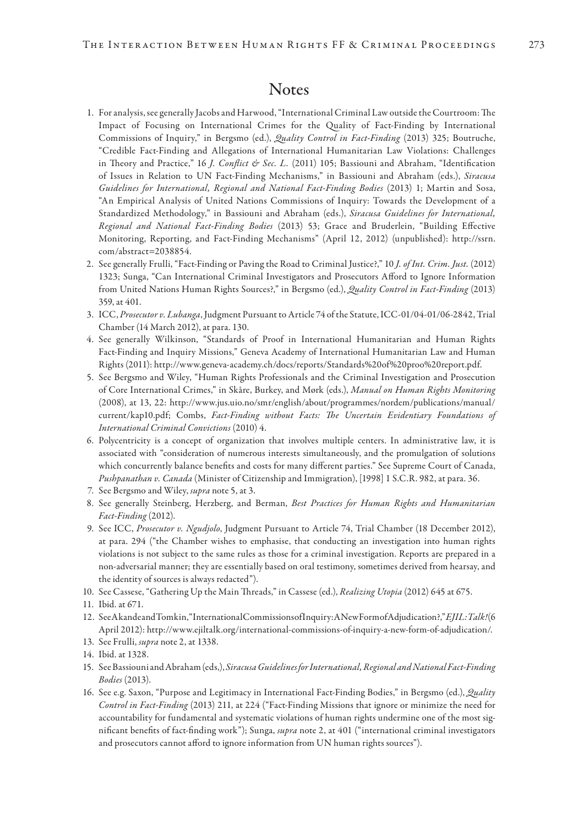# **Notes**

- 1. For analysis, see generally Jacobs and Harwood, "International Criminal Law outside the Courtroom: The Impact of Focusing on International Crimes for the Quality of Fact-Finding by International Commissions of Inquiry," in Bergsmo (ed.), *Quality Control in Fact-Finding* (2013) 325; Boutruche, "Credible Fact-Finding and Allegations of International Humanitarian Law Violations: Challenges in Theory and Practice," 16 *J. Conflict & Sec. L.* (2011) 105; Bassiouni and Abraham, "Identification of Issues in Relation to UN Fact-Finding Mechanisms," in Bassiouni and Abraham (eds.), *Siracusa Guidelines for International, Regional and National Fact-Finding Bodies* (2013) 1; Martin and Sosa, "An Empirical Analysis of United Nations Commissions of Inquiry: Towards the Development of a Standardized Methodology," in Bassiouni and Abraham (eds.), *Siracusa Guidelines for International, Regional and National Fact-Finding Bodies* (2013) 53; Grace and Bruderlein, "Building Effective Monitoring, Reporting, and Fact-Finding Mechanisms" (April 12, 2012) (unpublished): http://ssrn. com/abstract=2038854.
- 2. See generally Frulli, "Fact-Finding or Paving the Road to Criminal Justice?," 10 *J. of Int. Crim. Just.* (2012) 1323; Sunga, "Can International Criminal Investigators and Prosecutors Afford to Ignore Information from United Nations Human Rights Sources?," in Bergsmo (ed.), *Quality Control in Fact-Finding* (2013) 359, at 401.
- 3. ICC, *Prosecutor v. Lubanga*, Judgment Pursuant to Article 74 of the Statute, ICC-01/04-01/06-2842, Trial Chamber (14 March 2012), at para. 130.
- 4. See generally Wilkinson, "Standards of Proof in International Humanitarian and Human Rights Fact-Finding and Inquiry Missions," Geneva Academy of International Humanitarian Law and Human Rights (2011): http://www.geneva-academy.ch/docs/reports/Standards%20of%20proo%20report.pdf.
- 5. See Bergsmo and Wiley, "Human Rights Professionals and the Criminal Investigation and Prosecution of Core International Crimes," in Skåre, Burkey, and Mørk (eds.), *Manual on Human Rights Monitoring* (2008), at 13, 22: http://www.jus.uio.no/smr/english/about/programmes/nordem/publications/manual/ current/kap10.pdf; Combs, *Fact-Finding without Facts: The Uncertain Evidentiary Foundations of International Criminal Convictions* (2010) 4.
- 6. Polycentricity is a concept of organization that involves multiple centers. In administrative law, it is associated with "consideration of numerous interests simultaneously, and the promulgation of solutions which concurrently balance benefits and costs for many different parties." See Supreme Court of Canada, *Pushpanathan v. Canada* (Minister of Citizenship and Immigration), [1998] 1 S.C.R. 982, at para. 36.
- 7. See Bergsmo and Wiley, *supra* note 5, at 3.
- 8. See generally Steinberg, Herzberg, and Berman, *Best Practices for Human Rights and Humanitarian Fact-Finding* (2012).
- 9. See ICC, *Prosecutor v. Ngudjolo*, Judgment Pursuant to Article 74, Trial Chamber (18 December 2012), at para. 294 ("the Chamber wishes to emphasise, that conducting an investigation into human rights violations is not subject to the same rules as those for a criminal investigation. Reports are prepared in a non-adversarial manner; they are essentially based on oral testimony, sometimes derived from hearsay, and the identity of sources is always redacted").
- 10. See Cassese, "Gathering Up the Main Threads," in Cassese (ed.), *Realizing Utopia* (2012) 645 at 675.
- 11. Ibid. at 671.
- 12. See Akande and Tomkin, "International Commissions of Inquiry: A New Form of Adjudication?," *EJIL: Talk!* (6 April 2012): http://www.ejiltalk.org/international-commissions-of-inquiry-a-new-form-of-adjudication/.
- 13. See Frulli, *supra* note 2, at 1338.
- 14. Ibid. at 1328.
- 15. See Bassiouni and Abraham (eds,), *Siracusa Guidelines for International, Regional and National Fact-Finding Bodies* (2013).
- 16. See e.g. Saxon, "Purpose and Legitimacy in International Fact-Finding Bodies," in Bergsmo (ed.), *Quality Control in Fact-Finding* (2013) 211, at 224 ("Fact-Finding Missions that ignore or minimize the need for accountability for fundamental and systematic violations of human rights undermine one of the most significant benefits of fact-finding work"); Sunga, *supra* note 2, at 401 ("international criminal investigators and prosecutors cannot afford to ignore information from UN human rights sources").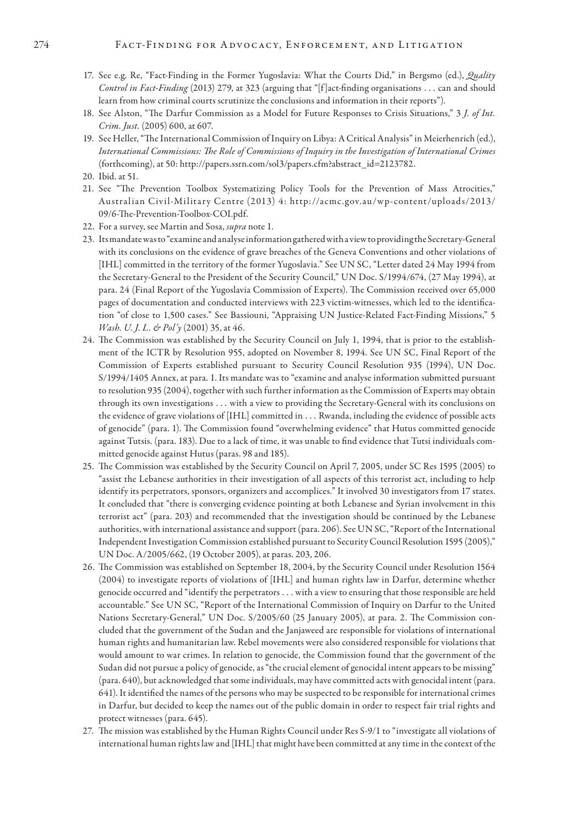- 17. See e.g. Re, "Fact-Finding in the Former Yugoslavia: What the Courts Did," in Bergsmo (ed.), *Quality Control in Fact-Finding* (2013) 279, at 323 (arguing that "[f]act-finding organisations … can and should learn from how criminal courts scrutinize the conclusions and information in their reports").
- 18. See Alston, "The Darfur Commission as a Model for Future Responses to Crisis Situations," 3 *J. of Int. Crim. Just.* (2005) 600, at 607.
- 19. See Heller, "The International Commission of Inquiry on Libya: A Critical Analysis" in Meierhenrich (ed.), *International Commissions: The Role of Commissions of Inquiry in the Investigation of International Crimes* (forthcoming), at 50: http://papers.ssrn.com/sol3/papers.cfm?abstract\_id=2123782.
- 20. Ibid. at 51.
- 21. See "The Prevention Toolbox Systematizing Policy Tools for the Prevention of Mass Atrocities," Australian Civil-Military Centre (2013) 4: http://acmc.gov.au/wp-content/uploads/2013/ 09/6-The-Prevention-Toolbox-COI.pdf.
- 22. For a survey, see Martin and Sosa, *supra* note 1.
- 23. Its mandate was to "examine and analyse information gathered with a view to providing the Secretary-General with its conclusions on the evidence of grave breaches of the Geneva Conventions and other violations of [IHL] committed in the territory of the former Yugoslavia." See UN SC, "Letter dated 24 May 1994 from the Secretary-General to the President of the Security Council," UN Doc. S/1994/674, (27 May 1994), at para. 24 (Final Report of the Yugoslavia Commission of Experts). The Commission received over 65,000 pages of documentation and conducted interviews with 223 victim-witnesses, which led to the identification "of close to 1,500 cases." See Bassiouni, "Appraising UN Justice-Related Fact-Finding Missions," 5 *Wash. U. J. L. & Pol'y* (2001) 35, at 46.
- 24. The Commission was established by the Security Council on July 1, 1994, that is prior to the establishment of the ICTR by Resolution 955, adopted on November 8, 1994. See UN SC, Final Report of the Commission of Experts established pursuant to Security Council Resolution 935 (1994), UN Doc. S/1994/1405 Annex, at para. 1. Its mandate was to "examine and analyse information submitted pursuant to resolution 935 (2004), together with such further information as the Commission of Experts may obtain through its own investigations … with a view to providing the Secretary-General with its conclusions on the evidence of grave violations of [IHL] committed in … Rwanda, including the evidence of possible acts of genocide" (para. 1). The Commission found "overwhelming evidence" that Hutus committed genocide against Tutsis. (para. 183). Due to a lack of time, it was unable to find evidence that Tutsi individuals committed genocide against Hutus (paras. 98 and 185).
- 25. The Commission was established by the Security Council on April 7, 2005, under SC Res 1595 (2005) to "assist the Lebanese authorities in their investigation of all aspects of this terrorist act, including to help identify its perpetrators, sponsors, organizers and accomplices." It involved 30 investigators from 17 states. It concluded that "there is converging evidence pointing at both Lebanese and Syrian involvement in this terrorist act" (para. 203) and recommended that the investigation should be continued by the Lebanese authorities, with international assistance and support (para. 206). See UN SC, "Report of the International Independent Investigation Commission established pursuant to Security Council Resolution 1595 (2005)," UN Doc. A/2005/662, (19 October 2005), at paras. 203, 206.
- 26. The Commission was established on September 18, 2004, by the Security Council under Resolution 1564 (2004) to investigate reports of violations of [IHL] and human rights law in Darfur, determine whether genocide occurred and "identify the perpetrators … with a view to ensuring that those responsible are held accountable." See UN SC, "Report of the International Commission of Inquiry on Darfur to the United Nations Secretary-General," UN Doc. S/2005/60 (25 January 2005), at para. 2. The Commission concluded that the government of the Sudan and the Janjaweed are responsible for violations of international human rights and humanitarian law. Rebel movements were also considered responsible for violations that would amount to war crimes. In relation to genocide, the Commission found that the government of the Sudan did not pursue a policy of genocide, as "the crucial element of genocidal intent appears to be missing" (para. 640), but acknowledged that some individuals, may have committed acts with genocidal intent (para. 641). It identified the names of the persons who may be suspected to be responsible for international crimes in Darfur, but decided to keep the names out of the public domain in order to respect fair trial rights and protect witnesses (para. 645).
- 27. The mission was established by the Human Rights Council under Res S-9/1 to "investigate all violations of international human rights law and [IHL] that might have been committed at any time in the context of the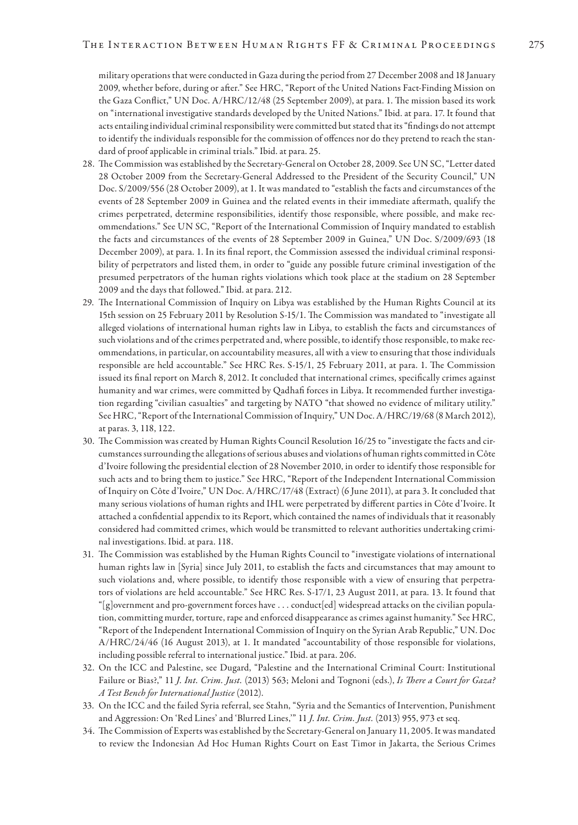military operations that were conducted in Gaza during the period from 27 December 2008 and 18 January 2009, whether before, during or after." See HRC, "Report of the United Nations Fact-Finding Mission on the Gaza Conflict," UN Doc. A/HRC/12/48 (25 September 2009), at para. 1. The mission based its work on "international investigative standards developed by the United Nations." Ibid. at para. 17. It found that acts entailing individual criminal responsibility were committed but stated that its "findings do not attempt to identify the individuals responsible for the commission of offences nor do they pretend to reach the standard of proof applicable in criminal trials." Ibid. at para. 25.

- 28. The Commission was established by the Secretary-General on October 28, 2009. See UN SC, "Letter dated 28 October 2009 from the Secretary-General Addressed to the President of the Security Council," UN Doc. S/2009/556 (28 October 2009), at 1. It was mandated to "establish the facts and circumstances of the events of 28 September 2009 in Guinea and the related events in their immediate aftermath, qualify the crimes perpetrated, determine responsibilities, identify those responsible, where possible, and make recommendations." See UN SC, "Report of the International Commission of Inquiry mandated to establish the facts and circumstances of the events of 28 September 2009 in Guinea," UN Doc. S/2009/693 (18 December 2009), at para. 1. In its final report, the Commission assessed the individual criminal responsibility of perpetrators and listed them, in order to "guide any possible future criminal investigation of the presumed perpetrators of the human rights violations which took place at the stadium on 28 September 2009 and the days that followed." Ibid. at para. 212.
- 29. The International Commission of Inquiry on Libya was established by the Human Rights Council at its 15th session on 25 February 2011 by Resolution S-15/1. The Commission was mandated to "investigate all alleged violations of international human rights law in Libya, to establish the facts and circumstances of such violations and of the crimes perpetrated and, where possible, to identify those responsible, to make recommendations, in particular, on accountability measures, all with a view to ensuring that those individuals responsible are held accountable." See HRC Res. S-15/1, 25 February 2011, at para. 1. The Commission issued its final report on March 8, 2012. It concluded that international crimes, specifically crimes against humanity and war crimes, were committed by Qadhafi forces in Libya. It recommended further investigation regarding "civilian casualties" and targeting by NATO "that showed no evidence of military utility." See HRC, "Report of the International Commission of Inquiry," UN Doc. A/HRC/19/68 (8 March 2012), at paras. 3, 118, 122.
- 30. The Commission was created by Human Rights Council Resolution 16/25 to "investigate the facts and circumstances surrounding the allegations of serious abuses and violations of human rights committed in Côte d'Ivoire following the presidential election of 28 November 2010, in order to identify those responsible for such acts and to bring them to justice." See HRC, "Report of the Independent International Commission of Inquiry on Côte d'Ivoire," UN Doc. A/HRC/17/48 (Extract) (6 June 2011), at para 3. It concluded that many serious violations of human rights and IHL were perpetrated by different parties in Côte d'Ivoire. It attached a confidential appendix to its Report, which contained the names of individuals that it reasonably considered had committed crimes, which would be transmitted to relevant authorities undertaking criminal investigations. Ibid. at para. 118.
- 31. The Commission was established by the Human Rights Council to "investigate violations of international human rights law in [Syria] since July 2011, to establish the facts and circumstances that may amount to such violations and, where possible, to identify those responsible with a view of ensuring that perpetrators of violations are held accountable." See HRC Res. S-17/1, 23 August 2011, at para. 13. It found that "[g]overnment and pro-government forces have … conduct[ed] widespread attacks on the civilian population, committing murder, torture, rape and enforced disappearance as crimes against humanity." See HRC, "Report of the Independent International Commission of Inquiry on the Syrian Arab Republic," UN. Doc A/HRC/24/46 (16 August 2013), at 1. It mandated "accountability of those responsible for violations, including possible referral to international justice." Ibid. at para. 206.
- 32. On the ICC and Palestine, see Dugard, "Palestine and the International Criminal Court: Institutional Failure or Bias?," 11 *J. Int. Crim. Just.* (2013) 563; Meloni and Tognoni (eds.), *Is There a Court for Gaza? A Test Bench for International Justice* (2012).
- 33. On the ICC and the failed Syria referral, see Stahn, "Syria and the Semantics of Intervention, Punishment and Aggression: On 'Red Lines' and 'Blurred Lines,'" 11 *J. Int. Crim. Just.* (2013) 955, 973 et seq.
- 34. The Commission of Experts was established by the Secretary-General on January 11, 2005. It was mandated to review the Indonesian Ad Hoc Human Rights Court on East Timor in Jakarta, the Serious Crimes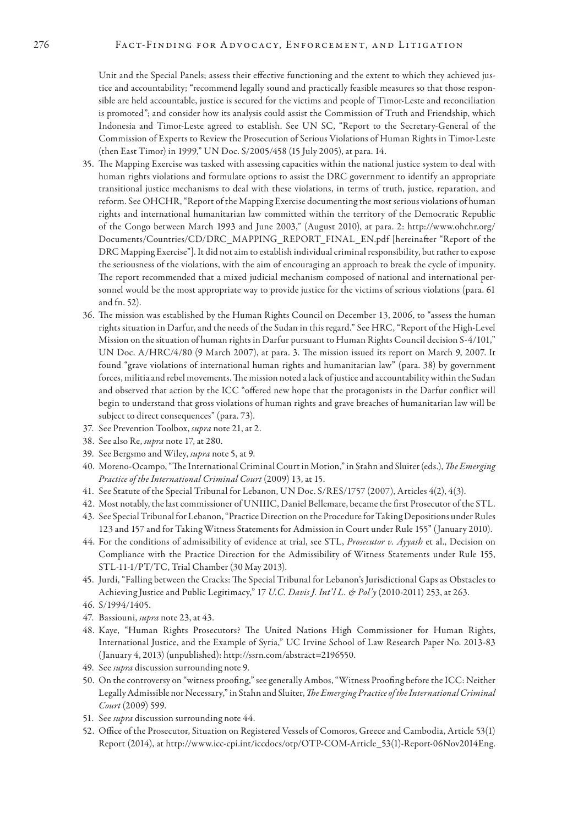Unit and the Special Panels; assess their effective functioning and the extent to which they achieved justice and accountability; "recommend legally sound and practically feasible measures so that those responsible are held accountable, justice is secured for the victims and people of Timor-Leste and reconciliation is promoted"; and consider how its analysis could assist the Commission of Truth and Friendship, which Indonesia and Timor-Leste agreed to establish. See UN SC, "Report to the Secretary-General of the Commission of Experts to Review the Prosecution of Serious Violations of Human Rights in Timor-Leste (then East Timor) in 1999," UN Doc. S/2005/458 (15 July 2005), at para. 14.

- 35. The Mapping Exercise was tasked with assessing capacities within the national justice system to deal with human rights violations and formulate options to assist the DRC government to identify an appropriate transitional justice mechanisms to deal with these violations, in terms of truth, justice, reparation, and reform. See OHCHR, "Report of the Mapping Exercise documenting the most serious violations of human rights and international humanitarian law committed within the territory of the Democratic Republic of the Congo between March 1993 and June 2003," (August 2010), at para. 2: http://www.ohchr.org/ Documents/Countries/CD/DRC\_MAPPING\_REPORT\_FINAL\_EN.pdf [hereinafter "Report of the DRC Mapping Exercise"]. It did not aim to establish individual criminal responsibility, but rather to expose the seriousness of the violations, with the aim of encouraging an approach to break the cycle of impunity. The report recommended that a mixed judicial mechanism composed of national and international personnel would be the most appropriate way to provide justice for the victims of serious violations (para. 61 and fn. 52).
- 36. The mission was established by the Human Rights Council on December 13, 2006, to "assess the human rights situation in Darfur, and the needs of the Sudan in this regard." See HRC, "Report of the High-Level Mission on the situation of human rights in Darfur pursuant to Human Rights Council decision S-4/101," UN Doc. A/HRC/4/80 (9 March 2007), at para. 3. The mission issued its report on March 9, 2007. It found "grave violations of international human rights and humanitarian law" (para. 38) by government forces, militia and rebel movements. The mission noted a lack of justice and accountability within the Sudan and observed that action by the ICC "offered new hope that the protagonists in the Darfur conflict will begin to understand that gross violations of human rights and grave breaches of humanitarian law will be subject to direct consequences" (para. 73).
- 37. See Prevention Toolbox, *supra* note 21, at 2.
- 38. See also Re, *supra* note 17, at 280.
- 39. See Bergsmo and Wiley, *supra* note 5, at 9.
- 40. Moreno-Ocampo, "The International Criminal Court in Motion," in Stahn and Sluiter (eds.), *The Emerging Practice of the International Criminal Court* (2009) 13, at 15.
- 41. See Statute of the Special Tribunal for Lebanon, UN Doc. S/RES/1757 (2007), Articles 4(2), 4(3).
- 42. Most notably, the last commissioner of UNIIIC, Daniel Bellemare, became the first Prosecutor of the STL.
- 43. See Special Tribunal for Lebanon, "Practice Direction on the Procedure for Taking Depositions under Rules 123 and 157 and for Taking Witness Statements for Admission in Court under Rule 155" (January 2010).
- 44. For the conditions of admissibility of evidence at trial, see STL, *Prosecutor v. Ayyash* et al., Decision on Compliance with the Practice Direction for the Admissibility of Witness Statements under Rule 155, STL-11-1/PT/TC, Trial Chamber (30 May 2013).
- 45. Jurdi, "Falling between the Cracks: The Special Tribunal for Lebanon's Jurisdictional Gaps as Obstacles to Achieving Justice and Public Legitimacy," 17 *U.C. Davis J. Int' l L. & Pol'y* (2010-2011) 253, at 263.
- 46. S/1994/1405.
- 47. Bassiouni, *supra* note 23, at 43.
- 48. Kaye, "Human Rights Prosecutors? The United Nations High Commissioner for Human Rights, International Justice, and the Example of Syria," UC Irvine School of Law Research Paper No. 2013-83 (January 4, 2013) (unpublished): http://ssrn.com/abstract=2196550.
- 49. See *supra* discussion surrounding note 9.
- 50. On the controversy on "witness proofing," see generally Ambos, "Witness Proofing before the ICC: Neither Legally Admissible nor Necessary," in Stahn and Sluiter, *The Emerging Practice of the International Criminal Court* (2009) 599.
- 51. See *supra* discussion surrounding note 44.
- 52. Office of the Prosecutor, Situation on Registered Vessels of Comoros, Greece and Cambodia, Article 53(1) Report (2014), at http://www.icc-cpi.int/iccdocs/otp/OTP-COM-Article\_53(1)-Report-06Nov2014Eng.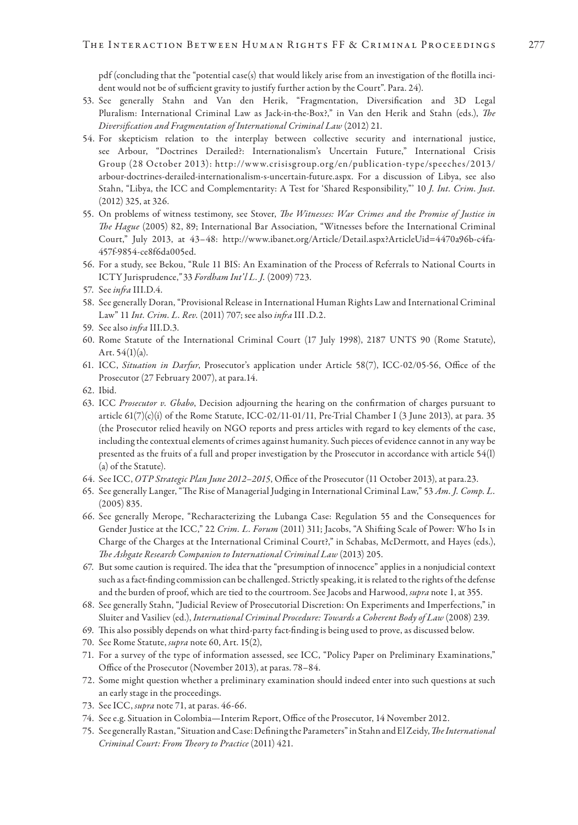pdf (concluding that the "potential case(s) that would likely arise from an investigation of the flotilla incident would not be of sufficient gravity to justify further action by the Court". Para. 24).

- 53. See generally Stahn and Van den Herik, "Fragmentation, Diversification and 3D Legal Pluralism: International Criminal Law as Jack-in-the-Box?," in Van den Herik and Stahn (eds.), *The Diversification and Fragmentation of International Criminal Law* (2012) 21.
- 54. For skepticism relation to the interplay between collective security and international justice, see Arbour, "Doctrines Derailed?: Internationalism's Uncertain Future," International Crisis Group (28 October 2013): http://w w w.crisisgroup.org /en/publication-type/speeches/2013/ arbour-doctrines-derailed-internationalism-s-uncertain-future.aspx. For a discussion of Libya, see also Stahn, "Libya, the ICC and Complementarity: A Test for 'Shared Responsibility,"' 10 *J. Int. Crim. Just.* (2012) 325, at 326.
- 55. On problems of witness testimony, see Stover, *The Witnesses: War Crimes and the Promise of Justice in The Hague* (2005) 82, 89; International Bar Association, "Witnesses before the International Criminal Court," July 2013, at 43–48: http://www.ibanet.org/Article/Detail.aspx?ArticleUid=4470a96b-c4fa-457f-9854-ce8f6da005ed.
- 56. For a study, see Bekou, "Rule 11 BIS: An Examination of the Process of Referrals to National Courts in ICTY Jurisprudence,*"* 33 *Fordham Int' l L. J.* (2009) 723.
- 57. See *infra* III.D.4.
- 58. See generally Doran, "Provisional Release in International Human Rights Law and International Criminal Law" 11 *Int. Crim. L. Rev.* (2011) 707; see also *infra* III .D.2.
- 59. See also *infra* III.D.3.
- 60. Rome Statute of the International Criminal Court (17 July 1998), 2187 UNTS 90 (Rome Statute), Art. 54(1)(a).
- 61. ICC, *Situation in Darfur*, Prosecutor's application under Article 58(7), ICC-02/05-56, Office of the Prosecutor (27 February 2007), at para.14.
- 62. Ibid.
- 63. ICC *Prosecutor v. Gbabo*, Decision adjourning the hearing on the confirmation of charges pursuant to article  $61(7)(c)(i)$  of the Rome Statute, ICC-02/11-01/11, Pre-Trial Chamber I (3 June 2013), at para. 35 (the Prosecutor relied heavily on NGO reports and press articles with regard to key elements of the case, including the contextual elements of crimes against humanity. Such pieces of evidence cannot in any way be presented as the fruits of a full and proper investigation by the Prosecutor in accordance with article 54(l) (a) of the Statute).
- 64. See ICC, *OTP Strategic Plan June 2012–2015*, Office of the Prosecutor (11 October 2013), at para.23.
- 65. See generally Langer, "The Rise of Managerial Judging in International Criminal Law," 53 *Am. J. Comp. L.* (2005) 835.
- 66. See generally Merope, "Recharacterizing the Lubanga Case: Regulation 55 and the Consequences for Gender Justice at the ICC," 22 *Crim. L. Forum* (2011) 311; Jacobs, "A Shifting Scale of Power: Who Is in Charge of the Charges at the International Criminal Court?," in Schabas, McDermott, and Hayes (eds.), *The Ashgate Research Companion to International Criminal Law* (2013) 205.
- 67. But some caution is required. The idea that the "presumption of innocence" applies in a nonjudicial context such as a fact-finding commission can be challenged. Strictly speaking, it is related to the rights of the defense and the burden of proof, which are tied to the courtroom. See Jacobs and Harwood, *supra* note 1, at 355.
- 68. See generally Stahn, "Judicial Review of Prosecutorial Discretion: On Experiments and Imperfections," in Sluiter and Vasiliev (ed.), *International Criminal Procedure: Towards a Coherent Body of Law* (2008) 239.
- 69. This also possibly depends on what third-party fact-finding is being used to prove, as discussed below.
- 70. See Rome Statute, *supra* note 60, Art. 15(2),
- 71. For a survey of the type of information assessed, see ICC, "Policy Paper on Preliminary Examinations," Office of the Prosecutor (November 2013), at paras. 78–84.
- 72. Some might question whether a preliminary examination should indeed enter into such questions at such an early stage in the proceedings.
- 73. See ICC, *supra* note 71, at paras. 46-66.
- 74. See e.g. Situation in Colombia—Interim Report, Office of the Prosecutor, 14 November 2012.
- 75. See generally Rastan, "Situation and Case: Defining the Parameters" in Stahn and El Zeidy, *The International Criminal Court: From Theory to Practice* (2011) 421.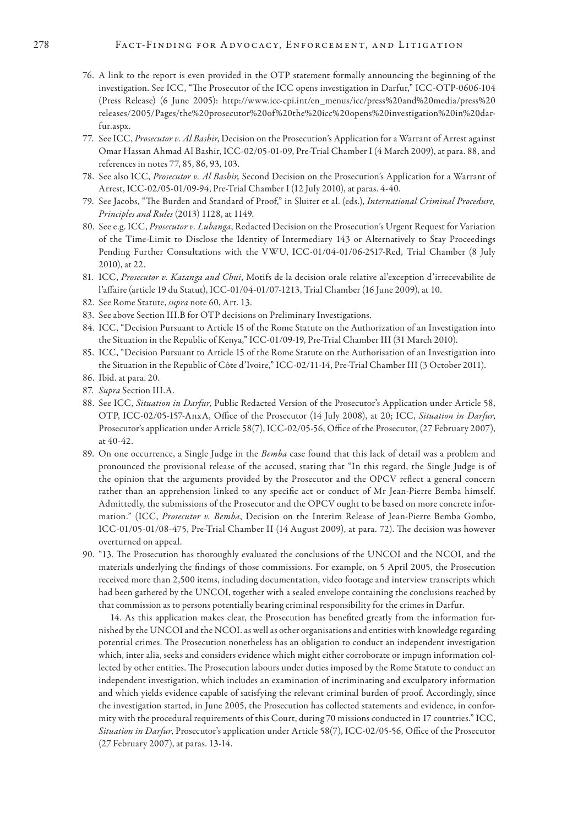- 76. A link to the report is even provided in the OTP statement formally announcing the beginning of the investigation. See ICC, "The Prosecutor of the ICC opens investigation in Darfur," ICC-OTP-0606-104 (Press Release) (6 June 2005): http://www.icc-cpi.int/en\_menus/icc/press%20and%20media/press%20 releases/2005/Pages/the%20prosecutor%20of%20the%20icc%20opens%20investigation%20in%20darfur.aspx.
- 77. See ICC, *Prosecutor v. Al Bashir*, Decision on the Prosecution's Application for a Warrant of Arrest against Omar Hassan Ahmad Al Bashir, ICC-02/05-01-09, Pre-Trial Chamber I (4 March 2009), at para. 88, and references in notes 77, 85, 86, 93, 103.
- 78. See also ICC, *Prosecutor v. Al Bashir,* Second Decision on the Prosecution's Application for a Warrant of Arrest, ICC-02/05-01/09-94, Pre-Trial Chamber I (12 July 2010), at paras. 4-40.
- 79. See Jacobs, "The Burden and Standard of Proof," in Sluiter et al. (eds.), *International Criminal Procedure, Principles and Rules* (2013) 1128, at 1149.
- 80. See e.g. ICC, *Prosecutor v. Lubanga*, Redacted Decision on the Prosecution's Urgent Request for Variation of the Time-Limit to Disclose the Identity of Intermediary 143 or Alternatively to Stay Proceedings Pending Further Consultations with the VWU, ICC-01/04-01/06-2517-Red, Trial Chamber (8 July 2010), at 22.
- 81. ICC, *Prosecutor v. Katanga and Chui*, Motifs de la decision orale relative al'exception d'irrecevabilite de l'affaire (article 19 du Statut), ICC-01/04-01/07-1213, Trial Chamber (16 June 2009), at 10.
- 82. See Rome Statute, *supra* note 60, Art. 13.
- 83. See above Section III.B for OTP decisions on Preliminary Investigations.
- 84. ICC, "Decision Pursuant to Article 15 of the Rome Statute on the Authorization of an Investigation into the Situation in the Republic of Kenya," ICC-01/09-19, Pre-Trial Chamber III (31 March 2010).
- 85. ICC, "Decision Pursuant to Article 15 of the Rome Statute on the Authorisation of an Investigation into the Situation in the Republic of Côte d'Ivoire," ICC-02/11-14, Pre-Trial Chamber III (3 October 2011).
- 86. Ibid. at para. 20.
- 87. *Supra* Section III.A.
- 88. See ICC, *Situation in Darfur*, Public Redacted Version of the Prosecutor's Application under Article 58, OTP, ICC-02/05-157-AnxA, Office of the Prosecutor (14 July 2008), at 20; ICC, *Situation in Darfur*, Prosecutor's application under Article 58(7), ICC-02/05-56, Office of the Prosecutor, (27 February 2007), at 40-42.
- 89. On one occurrence, a Single Judge in the *Bemba* case found that this lack of detail was a problem and pronounced the provisional release of the accused, stating that "In this regard, the Single Judge is of the opinion that the arguments provided by the Prosecutor and the OPCV reflect a general concern rather than an apprehension linked to any specific act or conduct of Mr Jean-Pierre Bemba himself. Admittedly, the submissions of the Prosecutor and the OPCV ought to be based on more concrete information." (ICC, *Prosecutor v. Bemba*, Decision on the Interim Release of Jean-Pierre Bemba Gombo, ICC-01/05-01/08-475, Pre-Trial Chamber II (14 August 2009), at para. 72). The decision was however overturned on appeal.
- 90. "13. The Prosecution has thoroughly evaluated the conclusions of the UNCOI and the NCOI, and the materials underlying the findings of those commissions. For example, on 5 April 2005, the Prosecution received more than 2,500 items, including documentation, video footage and interview transcripts which had been gathered by the UNCOI, together with a sealed envelope containing the conclusions reached by that commission as to persons potentially bearing criminal responsibility for the crimes in Darfur.

14. As this application makes clear, the Prosecution has benefited greatly from the information furnished by the UNCOI and the NCOI. as well as other organisations and entities with knowledge regarding potential crimes. The Prosecution nonetheless has an obligation to conduct an independent investigation which, inter alia, seeks and considers evidence which might either corroborate or impugn information collected by other entities. The Prosecution labours under duties imposed by the Rome Statute to conduct an independent investigation, which includes an examination of incriminating and exculpatory information and which yields evidence capable of satisfying the relevant criminal burden of proof. Accordingly, since the investigation started, in June 2005, the Prosecution has collected statements and evidence, in conformity with the procedural requirements of this Court, during 70 missions conducted in 17 countries." ICC, *Situation in Darfur*, Prosecutor's application under Article 58(7), ICC-02/05-56, Office of the Prosecutor (27 February 2007), at paras. 13-14.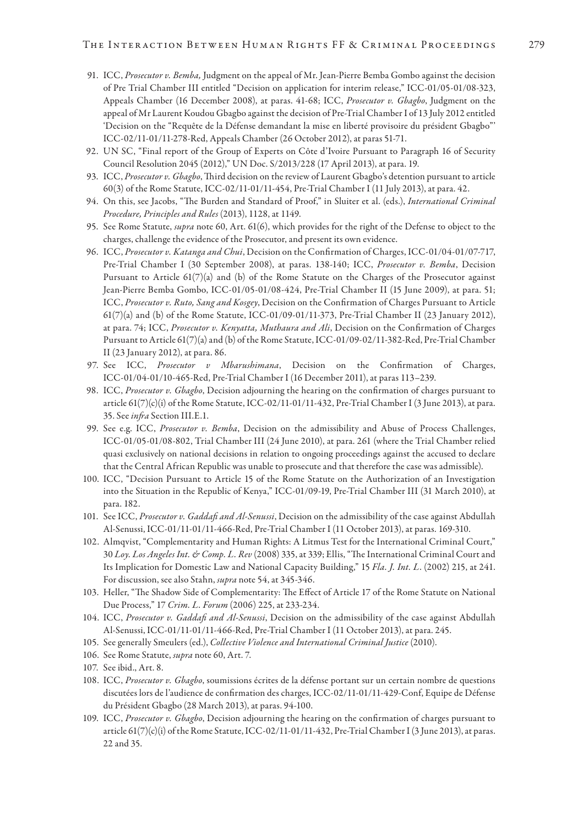- 91. ICC, *Prosecutor v. Bemba,* Judgment on the appeal of Mr. Jean-Pierre Bemba Gombo against the decision of Pre Trial Chamber III entitled "Decision on application for interim release," ICC-01/05-01/08-323, Appeals Chamber (16 December 2008), at paras. 41-68; ICC, *Prosecutor v. Gbagbo*, Judgment on the appeal of Mr Laurent Koudou Gbagbo against the decision of Pre-Trial Chamber I of 13 July 2012 entitled 'Decision on the "Requête de la Défense demandant la mise en liberté provisoire du président Gbagbo"' ICC-02/11-01/11-278-Red, Appeals Chamber (26 October 2012), at paras 51-71.
- 92. UN SC, "Final report of the Group of Experts on Côte d'Ivoire Pursuant to Paragraph 16 of Security Council Resolution 2045 (2012)," UN Doc. S/2013/228 (17 April 2013), at para. 19.
- 93. ICC, *Prosecutor v. Gbagbo*, Third decision on the review of Laurent Gbagbo's detention pursuant to article 60(3) of the Rome Statute, ICC-02/11-01/11-454, Pre-Trial Chamber I (11 July 2013), at para. 42.
- 94. On this, see Jacobs, "The Burden and Standard of Proof," in Sluiter et al. (eds.), *International Criminal Procedure, Principles and Rules* (2013), 1128, at 1149.
- 95. See Rome Statute, *supra* note 60, Art. 61(6), which provides for the right of the Defense to object to the charges, challenge the evidence of the Prosecutor, and present its own evidence.
- 96. ICC, *Prosecutor v. Katanga and Chui*, Decision on the Confirmation of Charges, ICC-01/04-01/07-717, Pre-Trial Chamber I (30 September 2008), at paras. 138-140; ICC, *Prosecutor v. Bemba*, Decision Pursuant to Article 61(7)(a) and (b) of the Rome Statute on the Charges of the Prosecutor against Jean-Pierre Bemba Gombo, ICC-01/05-01/08-424, Pre-Trial Chamber II (15 June 2009), at para. 51; ICC, *Prosecutor v. Ruto, Sang and Kosgey*, Decision on the Confirmation of Charges Pursuant to Article 61(7)(a) and (b) of the Rome Statute, ICC-01/09-01/11-373, Pre-Trial Chamber II (23 January 2012), at para. 74; ICC, *Prosecutor v. Kenyatta, Muthaura and Ali*, Decision on the Confirmation of Charges Pursuant to Article 61(7)(a) and (b) of the Rome Statute, ICC-01/09-02/11-382-Red, Pre-Trial Chamber II (23 January 2012), at para. 86.
- 97. See ICC, *Prosecutor v Mbarushimana*, Decision on the Confirmation of Charges, ICC-01/04-01/10-465-Red, Pre-Trial Chamber I (16 December 2011), at paras 113–239.
- 98. ICC, *Prosecutor v. Gbagbo*, Decision adjourning the hearing on the confirmation of charges pursuant to article 61(7)(c)(i) of the Rome Statute, ICC-02/11-01/11-432, Pre-Trial Chamber I (3 June 2013), at para. 35. See *infra* Section III.E.1.
- 99. See e.g. ICC, *Prosecutor v. Bemba*, Decision on the admissibility and Abuse of Process Challenges, ICC-01/05-01/08-802, Trial Chamber III (24 June 2010), at para. 261 (where the Trial Chamber relied quasi exclusively on national decisions in relation to ongoing proceedings against the accused to declare that the Central African Republic was unable to prosecute and that therefore the case was admissible).
- 100. ICC, "Decision Pursuant to Article 15 of the Rome Statute on the Authorization of an Investigation into the Situation in the Republic of Kenya," ICC-01/09-19, Pre-Trial Chamber III (31 March 2010), at para. 182.
- 101. See ICC, *Prosecutor v. Gaddafi and Al-Senussi*, Decision on the admissibility of the case against Abdullah Al-Senussi, ICC-01/11-01/11-466-Red, Pre-Trial Chamber I (11 October 2013), at paras. 169-310.
- 102. Almqvist, "Complementarity and Human Rights: A Litmus Test for the International Criminal Court," 30 *Loy. Los Angeles Int. & Comp. L. Rev* (2008) 335, at 339; Ellis, "The International Criminal Court and Its Implication for Domestic Law and National Capacity Building," 15 *Fla. J. Int. L*. (2002) 215, at 241. For discussion, see also Stahn, *supra* note 54, at 345-346.
- 103. Heller, "The Shadow Side of Complementarity: The Effect of Article 17 of the Rome Statute on National Due Process," 17 *Crim. L. Forum* (2006) 225, at 233-234.
- 104. ICC, *Prosecutor v. Gaddafi and Al-Senussi*, Decision on the admissibility of the case against Abdullah Al-Senussi, ICC-01/11-01/11-466-Red, Pre-Trial Chamber I (11 October 2013), at para. 245.
- 105. See generally Smeulers (ed.), *Collective Violence and International Criminal Justice* (2010).
- 106. See Rome Statute, *supra* note 60, Art. 7.
- 107. See ibid., Art. 8.
- 108. ICC, *Prosecutor v. Gbagbo*, soumissions écrites de la défense portant sur un certain nombre de questions discutées lors de l'audience de confirmation des charges, ICC-02/11-01/11-429-Conf, Equipe de Défense du Président Gbagbo (28 March 2013), at paras. 94-100.
- 109. ICC, *Prosecutor v. Gbagbo*, Decision adjourning the hearing on the confirmation of charges pursuant to article 61(7)(c)(i) of the Rome Statute, ICC-02/11-01/11-432, Pre-Trial Chamber I (3 June 2013), at paras. 22 and 35.